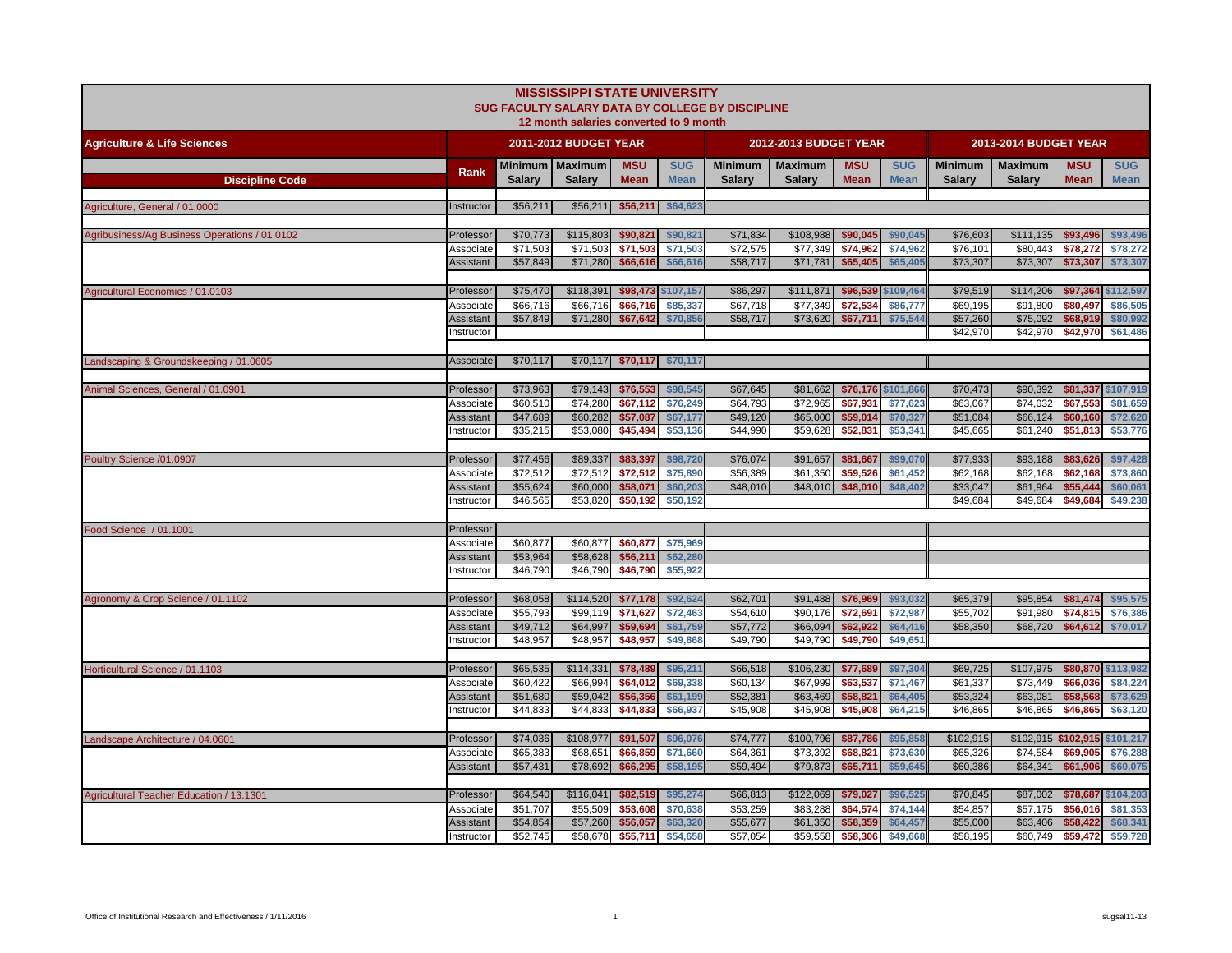|                                               |                               |                      | <b>MISSISSIPPI STATE UNIVERSITY</b>    |                      |                      | SUG FACULTY SALARY DATA BY COLLEGE BY DISCIPLINE |                       |                      |                      |                      |                       |                      |                      |
|-----------------------------------------------|-------------------------------|----------------------|----------------------------------------|----------------------|----------------------|--------------------------------------------------|-----------------------|----------------------|----------------------|----------------------|-----------------------|----------------------|----------------------|
|                                               |                               |                      | 12 month salaries converted to 9 month |                      |                      |                                                  |                       |                      |                      |                      |                       |                      |                      |
| <b>Agriculture &amp; Life Sciences</b>        |                               |                      | 2011-2012 BUDGET YEAR                  |                      |                      |                                                  | 2012-2013 BUDGET YEAR |                      |                      |                      | 2013-2014 BUDGET YEAR |                      |                      |
|                                               | Rank                          |                      | Minimum   Maximum                      | <b>MSU</b>           | <b>SUG</b>           | <b>Minimum</b>                                   | <b>Maximum</b>        | <b>MSU</b>           | <b>SUG</b>           | <b>Minimum</b>       | <b>Maximum</b>        | <b>MSU</b>           | <b>SUG</b>           |
| <b>Discipline Code</b>                        |                               | <b>Salarv</b>        | <b>Salarv</b>                          | <b>Mean</b>          | <b>Mean</b>          | <b>Salary</b>                                    | <b>Salary</b>         | <b>Mean</b>          | <b>Mean</b>          | <b>Salary</b>        | <b>Salary</b>         | <b>Mean</b>          | <b>Mean</b>          |
| Agriculture, General / 01.0000                | Instructor                    | \$56,211             | \$56,211                               | \$56,211             | \$64,623             |                                                  |                       |                      |                      |                      |                       |                      |                      |
|                                               |                               |                      |                                        |                      |                      |                                                  |                       |                      |                      |                      |                       |                      |                      |
| Agribusiness/Ag Business Operations / 01.0102 | Professor                     | \$70,773             | \$115,803                              | \$90,821             | \$90,821             | \$71,834                                         | \$108,988             | \$90,045             | \$90,045             | \$76,603             | \$111,135             | \$93,496             | \$93,496             |
|                                               | Associate                     | \$71,503             | \$71,503                               | \$71,503             | \$71,503             | \$72,575                                         | \$77,349              | \$74.962             | \$74,962             | \$76.101             | \$80.443              | \$78,272             | \$78,272             |
|                                               | Assistant                     | \$57,849             | \$71,280                               | \$66,616             | \$66,616             | \$58,717                                         | \$71,781              | \$65,405             | \$65,405             | \$73,307             | \$73,307              | \$73,307             | \$73,307             |
| Agricultural Economics / 01.0103              | Professor                     | \$75,470             | \$118,391                              |                      | \$98,473 \$107,157   | \$86,297                                         | \$111,871             |                      | \$96,539 \$109,464   | \$79,519             | \$114,206             | \$97,364             | \$112,597            |
|                                               | Associate                     | \$66.716             | \$66,716                               | \$66,716             | \$85,337             | \$67.718                                         | \$77,349              | \$72,534             | \$86,777             | \$69,195             | \$91.800              | \$80,497             | \$86,505             |
|                                               | Assistant                     | \$57,849             | \$71,280                               | \$67,642             | \$70,856             | \$58,717                                         | \$73,620              | \$67,711             | \$75,544             | \$57,260             | \$75,092              | \$68,919             | \$80,992             |
|                                               | nstructor                     |                      |                                        |                      |                      |                                                  |                       |                      |                      | \$42,970             | \$42,970              | \$42,970             | \$61,486             |
| Landscaping & Groundskeeping / 01.0605        | Associate                     | \$70,117             |                                        | $$70,117$ \$70,117   | \$70,117             |                                                  |                       |                      |                      |                      |                       |                      |                      |
|                                               |                               |                      |                                        |                      |                      |                                                  |                       |                      |                      |                      |                       |                      |                      |
| Animal Sciences, General / 01.0901            | Professor                     | \$73,963             | \$79,143                               | \$76,553             | \$98,545             | \$67,645                                         | \$81,662              |                      | \$76,176 \$101,866   | \$70,473             | \$90,392              |                      | \$81,337 \$107,919   |
|                                               | Associate                     | \$60,510             | \$74,280                               | \$67,112             | \$76,249             | \$64,793                                         | \$72,965              | \$67,931             | \$77,623             | \$63,067             | \$74,032              | \$67,553             | \$81,659             |
|                                               | <b>Assistant</b>              | \$47,689             | \$60,282                               | \$57,087             | \$67,177             | \$49,120                                         | \$65,000              | \$59,014             | \$70,327             | \$51,084             | \$66,124              | \$60,160             | \$72,620             |
|                                               | Instructor                    | \$35,215             | \$53,080                               | \$45,494             | \$53,136             | \$44,990                                         | \$59,628              | \$52,831             | \$53,341             | \$45,665             | \$61,240              | \$51,813             | \$53,776             |
| Poultry Science /01.0907                      | Professor                     | \$77,456             | \$89,337                               | \$83,397             | \$98,720             | \$76,074                                         | \$91,657              | \$81,667             | \$99,070             | \$77,933             | \$93,188              | \$83,626             | \$97,428             |
|                                               | Associate                     | \$72,512             | \$72,512                               | \$72,512             | \$75,890             | \$56,389                                         | \$61,350              | \$59,526             | \$61,452             | \$62,168             | \$62,168              | \$62,168             | \$73,860             |
|                                               | <b>Assistant</b>              | \$55,624             | \$60,000                               | \$58,071             | \$60,203             | \$48,010                                         | \$48,010              | \$48,010             | \$48,402             | \$33,047             | \$61,964              | \$55,444             | \$60,061             |
|                                               | nstructor                     | \$46,565             | \$53,820                               | \$50,192             | \$50,192             |                                                  |                       |                      |                      | \$49,684             | \$49,684              | \$49,684             | \$49,238             |
|                                               |                               |                      |                                        |                      |                      |                                                  |                       |                      |                      |                      |                       |                      |                      |
| Food Science / 01.1001                        | Professor                     |                      |                                        |                      |                      |                                                  |                       |                      |                      |                      |                       |                      |                      |
|                                               | Associate                     | \$60,877             | \$60,877                               | \$60,877             | \$75,969             |                                                  |                       |                      |                      |                      |                       |                      |                      |
|                                               | <b>Assistant</b><br>nstructor | \$53,964<br>\$46,790 | \$58,628<br>\$46,790                   | \$56,211<br>\$46,790 | \$62,280<br>\$55,922 |                                                  |                       |                      |                      |                      |                       |                      |                      |
|                                               |                               |                      |                                        |                      |                      |                                                  |                       |                      |                      |                      |                       |                      |                      |
| Agronomy & Crop Science / 01.1102             | Professor                     | \$68,058             | \$114,520                              | \$77,178             | \$92,624             | \$62,701                                         | \$91,488              | \$76,969             | \$93,032             | \$65,379             | \$95,854              | \$81,474             | \$95,575             |
|                                               | Associate                     | \$55,793             | \$99,119                               | \$71,627             | \$72,463             | \$54,610                                         | \$90,176              | \$72,691             | \$72,987             | \$55,702             | \$91,980              | \$74,815             | \$76,386             |
|                                               | Assistant                     | \$49,712             | \$64,997                               | \$59,694             | \$61,759             | \$57,772                                         | \$66,094              | \$62,922             | \$64,416             | \$58,350             | \$68,720              | \$64,612             | \$70,017             |
|                                               | Instructor                    | \$48,957             | \$48,957                               | \$48,957             | \$49,868             | \$49,790                                         | \$49,790              | \$49,790             | \$49,651             |                      |                       |                      |                      |
| Horticultural Science / 01.1103               | Professor                     | \$65,535             | \$114,331                              | \$78,489             | \$95,211             | \$66,518                                         | \$106,230             | \$77,689             | \$97,304             | \$69,725             | \$107,975             |                      | \$80,870 \$113,982   |
|                                               | Associate                     | \$60,422             | \$66,994                               | \$64,012             | \$69,338             | \$60,134                                         | \$67,999              | \$63,537             | \$71,467             | \$61,337             | \$73,449              | \$66,036             | \$84,224             |
|                                               | Assistant                     | \$51,680             | \$59,042                               | \$56,356             | \$61,199             | \$52,381                                         | \$63,469              | \$58,821             | \$64,405             | \$53,324             | \$63,081              | \$58,568             | \$73,629             |
|                                               | nstructor                     | \$44,833             | \$44,833                               | \$44,833             | \$66,937             | \$45,908                                         | \$45,908              | \$45,908             | \$64,215             | \$46,865             | \$46,865              | \$46,865             | \$63,120             |
|                                               |                               |                      |                                        |                      |                      |                                                  |                       |                      |                      |                      |                       |                      |                      |
| Landscape Architecture / 04.0601              | Professor                     | \$74,036             | \$108,977                              | \$91,507<br>\$66,859 | \$96,076             | \$74,777                                         | \$100,796             | \$87,786<br>\$68,821 | \$95,858             | \$102,915            |                       | \$102,915 \$102,915  | \$101,217            |
|                                               | Associate<br><b>Assistant</b> | \$65,383<br>\$57,431 | \$68,651<br>\$78,692                   | \$66,295             | \$71,660<br>\$58,195 | \$64,361<br>\$59,494                             | \$73,392<br>\$79,873  | \$65,711             | \$73,630<br>\$59,645 | \$65,326<br>\$60,386 | \$74,584<br>\$64,341  | \$69,905<br>\$61,906 | \$76,288<br>\$60,075 |
|                                               |                               |                      |                                        |                      |                      |                                                  |                       |                      |                      |                      |                       |                      |                      |
| Agricultural Teacher Education / 13.1301      | Professor                     | \$64,540             | \$116,041                              | \$82,519             | \$95,274             | \$66,813                                         | \$122,069             | \$79,027             | \$96,525             | \$70,845             | \$87,002              | \$78,687             | \$104,203            |
|                                               | Associate                     | \$51,707             | \$55,509                               | \$53,608             | \$70,638             | \$53,259                                         | \$83,288              | \$64,574             | \$74,144             | \$54,857             | \$57,175              | \$56,016             | \$81,353             |
|                                               | Assistant                     | \$54,854             | \$57,260                               | \$56,057             | \$63,320             | \$55,677                                         | \$61,350              | \$58,359             | \$64,457             | \$55,000             | \$63,406              | \$58,422             | \$68,341             |
|                                               | Instructor                    | \$52,745             | \$58,678                               | \$55,711             | \$54,658             | \$57,054                                         | \$59,558              | \$58,306             | \$49,668             | \$58,195             | \$60,749              | \$59,472             | \$59,728             |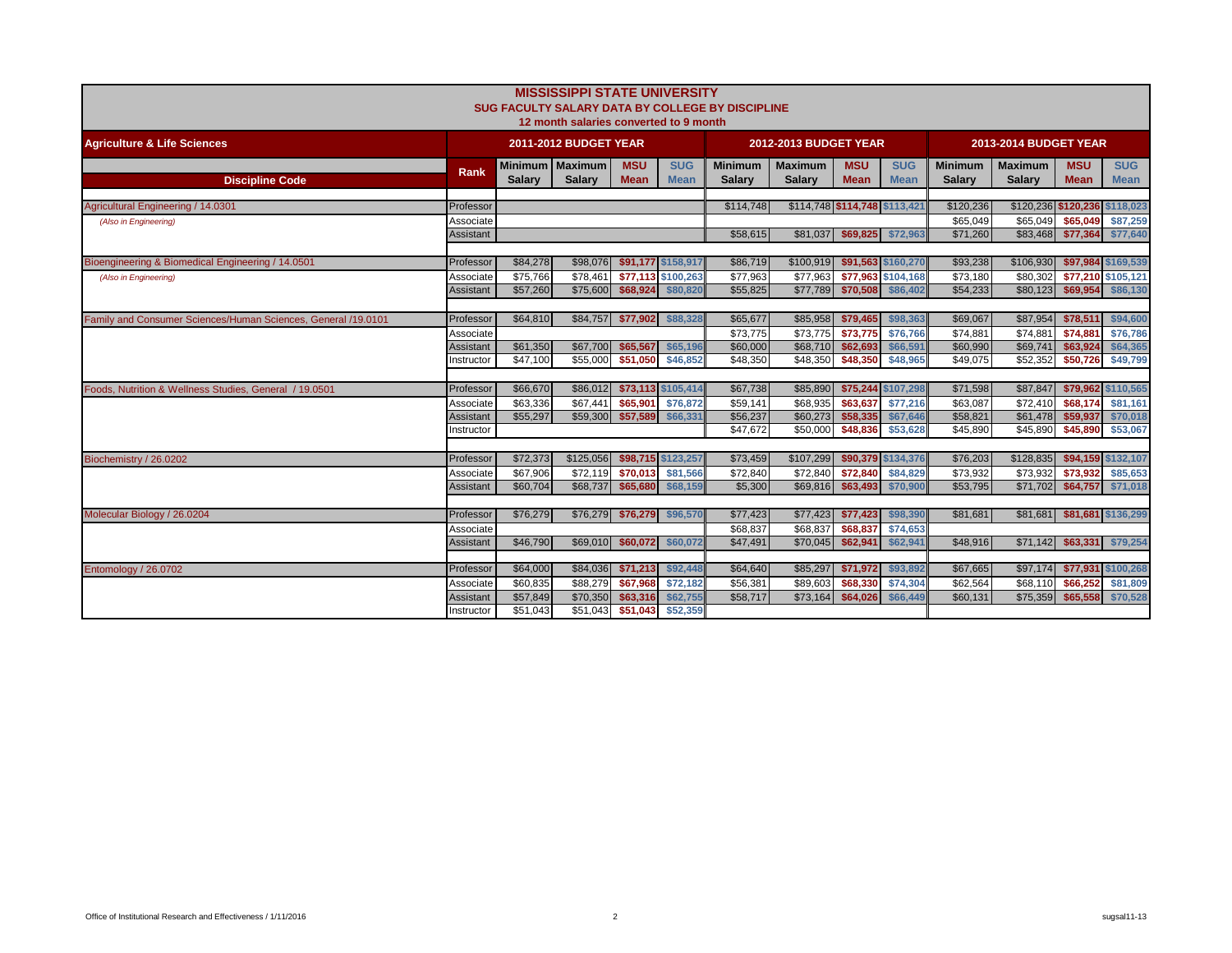|                                                               |                        |                      | <b>MISSISSIPPI STATE UNIVERSITY</b><br>12 month salaries converted to 9 month |                           |                                | SUG FACULTY SALARY DATA BY COLLEGE BY DISCIPLINE |                                 |                               |                                |                                 |                                 |                           |                                |
|---------------------------------------------------------------|------------------------|----------------------|-------------------------------------------------------------------------------|---------------------------|--------------------------------|--------------------------------------------------|---------------------------------|-------------------------------|--------------------------------|---------------------------------|---------------------------------|---------------------------|--------------------------------|
| <b>Agriculture &amp; Life Sciences</b>                        |                        |                      | <b>2011-2012 BUDGET YEAR</b>                                                  |                           |                                |                                                  | 2012-2013 BUDGET YEAR           |                               |                                |                                 | 2013-2014 BUDGET YEAR           |                           |                                |
| <b>Discipline Code</b>                                        | Rank                   | <b>Salarv</b>        | Minimum   Maximum<br><b>Salarv</b>                                            | <b>MSU</b><br><b>Mean</b> | <b>SUG</b><br><b>Mean</b>      | <b>Minimum</b><br><b>Salary</b>                  | <b>Maximum</b><br><b>Salary</b> | <b>MSU</b><br><b>Mean</b>     | <b>SUG</b><br><b>Mean</b>      | <b>Minimum</b><br><b>Salary</b> | <b>Maximum</b><br><b>Salary</b> | <b>MSU</b><br><b>Mean</b> | <b>SUG</b><br><b>Mean</b>      |
| Agricultural Engineering / 14.0301                            | Professor              |                      |                                                                               |                           |                                | \$114,748                                        |                                 | \$114,748 \$114,748 \$113,421 |                                | \$120,236                       | \$120,236 \$120,236 \$118,023   |                           |                                |
| (Also in Engineering)                                         | Associate              |                      |                                                                               |                           |                                |                                                  |                                 |                               |                                | \$65.049                        | \$65.049                        | \$65,049                  | \$87,259                       |
|                                                               | Assistant              |                      |                                                                               |                           |                                | \$58,615                                         | \$81,037                        | \$69,825                      | \$72,963                       | \$71,260                        | \$83,468                        |                           | \$77,364 \$77,640              |
|                                                               |                        |                      |                                                                               |                           |                                |                                                  |                                 |                               |                                |                                 |                                 |                           |                                |
| Bioengineering & Biomedical Engineering / 14.0501             | Professor              | \$84,278             | \$98,076                                                                      |                           | \$91,177 \$158,917             | \$86,719                                         | \$100,919                       |                               | \$91,563 \$160,270             | \$93,238                        | \$106,930                       |                           | \$97,984 \$169,539             |
| (Also in Engineering)                                         | Associate              | \$75,766<br>\$57,260 | \$78.461<br>\$75,600                                                          | \$68,924                  | \$77.113 \$100.263<br>\$80,820 | \$77,963<br>\$55,825                             | \$77.963<br>\$77,789            | \$70,508                      | \$77.963 \$104.168<br>\$86,402 | \$73,180<br>\$54,233            | \$80.302<br>\$80,123            | \$69,954                  | \$77,210 \$105,121<br>\$86,130 |
|                                                               | Assistant              |                      |                                                                               |                           |                                |                                                  |                                 |                               |                                |                                 |                                 |                           |                                |
| Family and Consumer Sciences/Human Sciences, General /19.0101 | Professor              | \$64,810             | \$84,757                                                                      | \$77,902                  | \$88,328                       | \$65,677                                         | \$85,958                        | \$79,465                      | \$98,363                       | \$69,067                        | \$87,954                        | \$78,511                  | \$94,600                       |
|                                                               | Associate              |                      |                                                                               |                           |                                | \$73,775                                         | \$73,775                        | \$73,775                      | \$76,766                       | \$74,881                        | \$74,881                        | \$74,881                  | \$76,786                       |
|                                                               | Assistant              | \$61,350             | \$67,700                                                                      | \$65,567                  | \$65,196                       | \$60,000                                         | \$68,710                        | \$62,693                      | \$66,591                       | \$60,990                        | \$69,741                        | \$63,924                  | \$64,365                       |
|                                                               | Instructor             | \$47,100             | \$55,000                                                                      | \$51,050                  | \$46,852                       | \$48,350                                         | \$48,350                        | \$48,350                      | \$48,965                       | \$49,075                        | \$52,352                        | \$50,726                  | \$49,799                       |
|                                                               |                        |                      |                                                                               |                           |                                |                                                  |                                 |                               |                                |                                 |                                 |                           |                                |
| Foods, Nutrition & Wellness Studies, General / 19.0501        | Professor              | \$66,670             | \$86,012                                                                      |                           | \$73,113 \$105,414             | \$67,738                                         | \$85,890                        |                               | \$75,244 \$107,298             | \$71,598                        | \$87,847                        |                           | \$79,962 \$110,565             |
|                                                               | Associate              | \$63,336             | \$67,441                                                                      | \$65,901                  | \$76,872                       | \$59,141                                         | \$68,935                        | \$63,637                      | \$77,216                       | \$63,087                        | \$72,410                        | \$68,174                  | \$81,161                       |
|                                                               | Assistant              | \$55,297             | \$59,300                                                                      | \$57,589                  | \$66,331                       | \$56,237<br>\$47.672                             | \$60,273<br>\$50,000            | \$58,335                      | \$67,646                       | \$58,821                        | \$61,478                        | \$59,937                  | \$70,018                       |
|                                                               | Instructor             |                      |                                                                               |                           |                                |                                                  |                                 | \$48,836                      | \$53,628                       | \$45,890                        | \$45,890                        | \$45,890                  | \$53,067                       |
| Biochemistry / 26.0202                                        | Professor              | \$72,373             | \$125,056                                                                     | \$98,715                  | \$123,257                      | \$73,459                                         | \$107,299                       |                               | \$90,379 \$134,376             | \$76,203                        | \$128,835                       |                           | \$94,159 \$132,107             |
|                                                               | Associate              | \$67,906             | \$72.119                                                                      | \$70,013                  | \$81,566                       | \$72.840                                         | \$72,840                        | \$72,840                      | \$84,829                       | \$73,932                        | \$73.932                        | \$73.932                  | \$85,653                       |
|                                                               | Assistant              | \$60,704             | \$68,737                                                                      | \$65,680                  | \$68,159                       | \$5,300                                          | \$69,816                        | \$63.493                      | \$70,900                       | \$53,795                        | \$71.702                        |                           | \$64,757 \$71,018              |
|                                                               |                        |                      |                                                                               |                           |                                |                                                  |                                 |                               |                                |                                 |                                 |                           |                                |
| Molecular Biology / 26.0204                                   | Professor              | \$76,279             |                                                                               | \$76,279 \$76,279         | \$96,570                       | \$77,423                                         | \$77,423                        | \$77.423                      | \$98,390                       | \$81,681                        | \$81.681                        |                           | \$81,681 \$136,299             |
|                                                               | Associate              |                      |                                                                               |                           |                                | \$68,837                                         | \$68,837                        | \$68,837                      | \$74,653                       |                                 |                                 |                           |                                |
|                                                               | Assistant              | \$46,790             | \$69,010                                                                      | \$60,072                  | \$60,072                       | \$47,491                                         | \$70,045                        | \$62,941                      | \$62,941                       | \$48,916                        | \$71,142                        |                           | \$63,331 \$79,254              |
|                                                               | Professor              | \$64,000             | \$84,036                                                                      | \$71,213                  | \$92,448                       | \$64,640                                         | \$85,297                        | \$71,972                      | \$93,892                       | \$67,665                        | \$97,174                        |                           | \$77,931 \$100,268             |
| Entomology / 26.0702                                          |                        | \$60,835             | \$88,279                                                                      | \$67,968                  | \$72,182                       | \$56,381                                         | \$89,603                        | \$68,330                      | \$74,304                       | \$62,564                        | \$68,110                        | \$66,252                  | \$81,809                       |
|                                                               | Associate<br>Assistant | \$57,849             | \$70,350                                                                      | \$63,316                  | \$62,755                       | \$58,717                                         | \$73,164                        | \$64,026                      | \$66,449                       | \$60,131                        | \$75,359                        | \$65,558                  | \$70,528                       |
|                                                               | Instructor             | \$51.043             | \$51,043                                                                      | \$51,043                  | \$52,359                       |                                                  |                                 |                               |                                |                                 |                                 |                           |                                |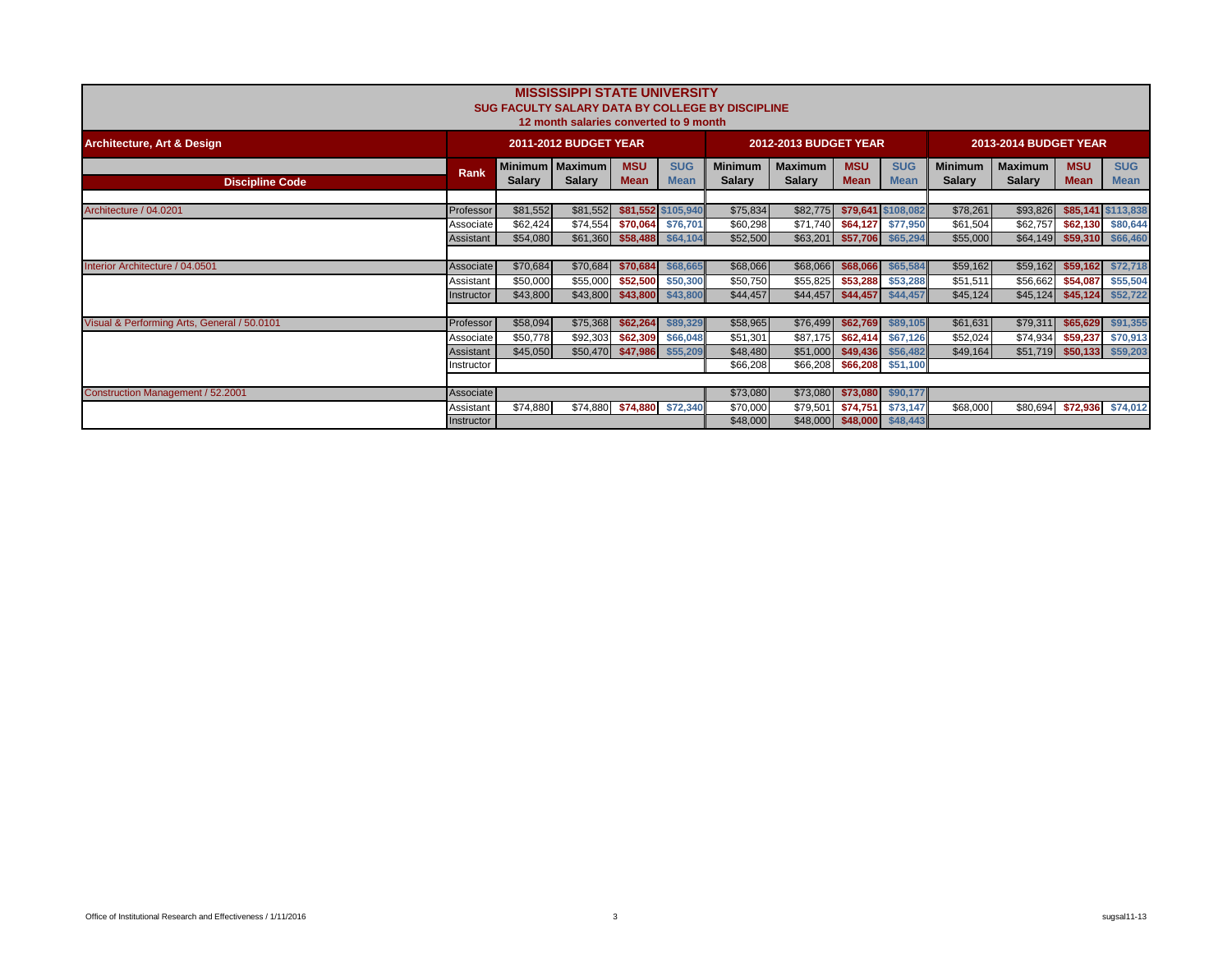|                                             |             |               | <b>MISSISSIPPI STATE UNIVERSITY</b><br>12 month salaries converted to 9 month |                           |                           | SUG FACULTY SALARY DATA BY COLLEGE BY DISCIPLINE |                                 |                           |                           |                                 |                                 |                           |                           |
|---------------------------------------------|-------------|---------------|-------------------------------------------------------------------------------|---------------------------|---------------------------|--------------------------------------------------|---------------------------------|---------------------------|---------------------------|---------------------------------|---------------------------------|---------------------------|---------------------------|
| <b>Architecture, Art &amp; Design</b>       |             |               | <b>2011-2012 BUDGET YEAR</b>                                                  |                           |                           |                                                  | 2012-2013 BUDGET YEAR           |                           |                           |                                 | <b>2013-2014 BUDGET YEAR</b>    |                           |                           |
| <b>Discipline Code</b>                      | <b>Rank</b> | <b>Salary</b> | Minimum   Maximum<br><b>Salary</b>                                            | <b>MSU</b><br><b>Mean</b> | <b>SUG</b><br><b>Mean</b> | <b>Minimum</b><br><b>Salary</b>                  | <b>Maximum</b><br><b>Salary</b> | <b>MSU</b><br><b>Mean</b> | <b>SUG</b><br><b>Mean</b> | <b>Minimum</b><br><b>Salary</b> | <b>Maximum</b><br><b>Salary</b> | <b>MSU</b><br><b>Mean</b> | <b>SUG</b><br><b>Mean</b> |
| Architecture / 04.0201                      | Professor   | \$81,552      | \$81,552                                                                      |                           | \$81,552 \$105,940        | \$75,834                                         | \$82,775                        |                           | \$79,641 \$108,082        | \$78,261                        | \$93,826                        |                           | \$85,141 \$113,838        |
|                                             | Associate   | \$62,424      | \$74,554                                                                      | \$70,064                  | \$76,701                  | \$60,298                                         | \$71,740                        | \$64,127                  | \$77,950                  | \$61,504                        | \$62,757                        | \$62,130                  | \$80,644                  |
|                                             | Assistant   | \$54,080      | \$61,360                                                                      | \$58,488                  | \$64,104                  | \$52,500                                         | \$63,201                        | \$57,706                  | \$65,294                  | \$55,000                        | \$64,149                        | \$59,310                  | \$66,460                  |
| Interior Architecture / 04.0501             | Associate   | \$70,684      | \$70,684                                                                      | \$70,684                  | \$68,665                  | \$68,066                                         | \$68,066                        | \$68,066                  | \$65,584                  | \$59,162                        | \$59,162                        | \$59,162                  | \$72,718                  |
|                                             | Assistant   | \$50,000      | \$55,000                                                                      | \$52,500                  | \$50,300                  | \$50,750                                         | \$55,825                        | \$53,288                  | \$53,288                  | \$51,511                        | \$56,662                        | \$54,087                  | \$55,504                  |
|                                             | Instructor  | \$43,800      | \$43,800                                                                      | \$43,800                  | \$43,800                  | \$44,457                                         | \$44,457                        | \$44,457                  | \$44,457                  | \$45,124                        | \$45,124                        | \$45,124                  | \$52,722                  |
| Visual & Performing Arts, General / 50.0101 | Professor   | \$58,094      | \$75,368                                                                      | \$62,264                  | \$89,329                  | \$58,965                                         | \$76,499                        | \$62,769                  | \$89,105                  | \$61,631                        | \$79,311                        | \$65,629                  | \$91,355                  |
|                                             | Associate   | \$50,778      | \$92,303                                                                      | \$62,309                  | \$66,048                  | \$51,301                                         | \$87,175                        | \$62,414                  | \$67,126                  | \$52,024                        | \$74,934                        | \$59,237                  | \$70,913                  |
|                                             | Assistant   | \$45,050      | \$50,470                                                                      | \$47,986                  | \$55,209                  | \$48,480                                         | \$51,000                        | \$49,436                  | \$56,482                  | \$49,164                        | \$51,719                        | \$50,133                  | \$59,203                  |
|                                             | Instructor  |               |                                                                               |                           |                           | \$66,208                                         | \$66,208                        | \$66,208                  | \$51,100                  |                                 |                                 |                           |                           |
|                                             |             |               |                                                                               |                           |                           |                                                  |                                 |                           |                           |                                 |                                 |                           |                           |
| Construction Management / 52.2001           | Associate   |               |                                                                               |                           |                           | \$73,080                                         | \$73,080                        | \$73,080                  | \$90,177                  |                                 |                                 |                           |                           |
|                                             | Assistant   | \$74,880      | \$74,880                                                                      |                           | \$74,880 \$72,340         | \$70,000                                         | \$79,501                        | \$74,751                  | \$73,147                  | \$68,000                        | \$80,694                        |                           | \$72,936 \$74,012         |
|                                             | Instructor  |               |                                                                               |                           |                           | \$48,000                                         | \$48,000                        | \$48,000                  | \$48,443                  |                                 |                                 |                           |                           |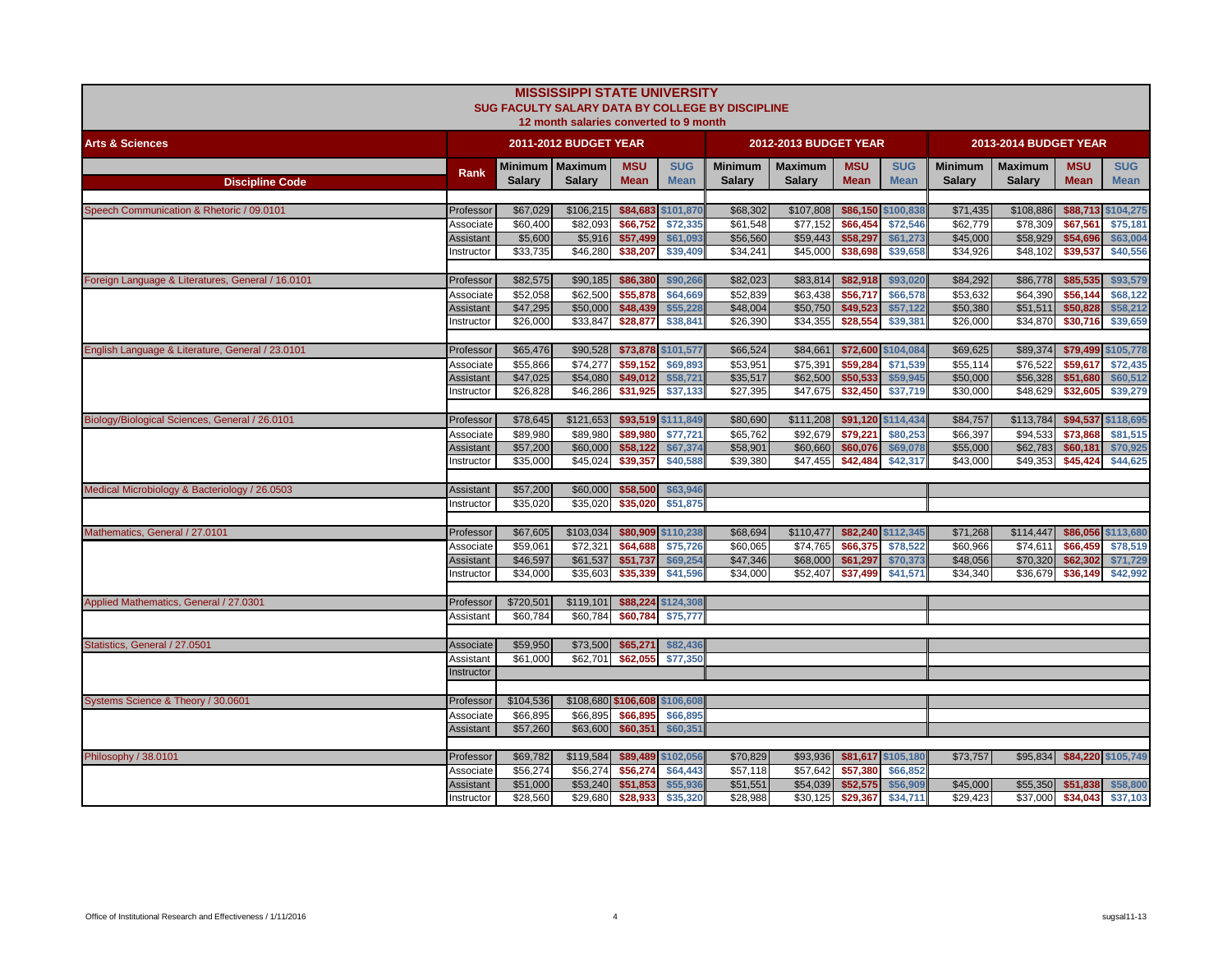|                                                   |                         |                      | <b>MISSISSIPPI STATE UNIVERSITY</b><br>12 month salaries converted to 9 month |                           |                           | SUG FACULTY SALARY DATA BY COLLEGE BY DISCIPLINE |                                 |                           |                           |                                 |                                 |                             |                           |
|---------------------------------------------------|-------------------------|----------------------|-------------------------------------------------------------------------------|---------------------------|---------------------------|--------------------------------------------------|---------------------------------|---------------------------|---------------------------|---------------------------------|---------------------------------|-----------------------------|---------------------------|
| <b>Arts &amp; Sciences</b>                        |                         |                      | 2011-2012 BUDGET YEAR                                                         |                           |                           |                                                  | 2012-2013 BUDGET YEAR           |                           |                           |                                 | 2013-2014 BUDGET YEAR           |                             |                           |
| <b>Discipline Code</b>                            | Rank                    | <b>Salarv</b>        | Minimum   Maximum<br><b>Salarv</b>                                            | <b>MSU</b><br><b>Mean</b> | <b>SUG</b><br><b>Mean</b> | <b>Minimum</b><br><b>Salary</b>                  | <b>Maximum</b><br><b>Salary</b> | <b>MSU</b><br><b>Mean</b> | <b>SUG</b><br><b>Mean</b> | <b>Minimum</b><br><b>Salary</b> | <b>Maximum</b><br><b>Salary</b> | <b>MSU</b><br><b>Mean</b>   | <b>SUG</b><br><b>Mean</b> |
|                                                   |                         |                      |                                                                               |                           |                           |                                                  |                                 |                           |                           |                                 |                                 |                             |                           |
| Speech Communication & Rhetoric / 09.0101         | Professor               | \$67,029             | \$106,215                                                                     | \$84,683                  | \$101,870                 | \$68,302                                         | \$107,808                       | \$86,150 \$100,838        |                           | \$71,435                        | \$108,886                       | \$88,713                    | \$104,275                 |
|                                                   | Associate               | \$60,400             | \$82,093                                                                      | \$66,752                  | \$72,335                  | \$61,548                                         | $\overline{$}77,152$            | \$66,454                  | \$72,546                  | \$62,779                        | \$78,309                        | \$67,561                    | \$75,181                  |
|                                                   | Assistant               | \$5,600              | \$5,916                                                                       | \$57,499                  | \$61,093                  | \$56,560                                         | \$59,443                        | \$58,297                  | \$61,273                  | \$45,000                        | \$58,929                        | \$54,696                    | \$63,004                  |
|                                                   | nstructor               | \$33,735             | \$46,280                                                                      | \$38,207                  | \$39,409                  | \$34,241                                         | \$45,000                        | \$38,698                  | \$39,658                  | \$34,926                        | \$48,102                        | \$39,537                    | \$40,556                  |
| Foreign Language & Literatures, General / 16.0101 | Professor               | \$82,575             | \$90,185                                                                      | \$86,380                  | \$90,266                  | \$82,023                                         | \$83,814                        | \$82,918                  | \$93,020                  | \$84,292                        | \$86,778                        | \$85,535                    | \$93,579                  |
|                                                   | Associate               | \$52,058             | \$62,500                                                                      | \$55,878                  | \$64,669                  | \$52,839                                         | \$63,438                        | \$56,717                  | \$66,578                  | \$53,632                        | \$64,390                        | \$56,144                    | \$68,122                  |
|                                                   | <b>Assistant</b>        | \$47,295             | \$50,000                                                                      | \$48,439                  | \$55,228                  | \$48,004                                         | \$50,750                        | \$49,523                  | \$57,122                  | \$50,380                        | \$51.511                        | \$50,828                    | \$58,212                  |
|                                                   | nstructor               | \$26,000             | \$33,847                                                                      | \$28,877                  | \$38,841                  | \$26,390                                         | \$34,355                        | \$28,554                  | \$39,381                  | \$26,000                        | \$34,870                        | \$30,716                    | \$39,659                  |
|                                                   |                         |                      |                                                                               |                           |                           |                                                  |                                 |                           |                           |                                 |                                 |                             |                           |
| English Language & Literature, General / 23.0101  | Professor               | \$65,476             | \$90,528                                                                      | \$73,878                  | \$101,577                 | \$66,524                                         | \$84,661                        |                           | \$72,600 \$104,084        | \$69,625                        | \$89,374                        | \$79,499                    | \$105,778                 |
|                                                   | Associate               | \$55,866             | \$74,277                                                                      | \$59,152                  | \$69,893                  | \$53,951                                         | \$75,391                        | \$59,284                  | \$71,539                  | \$55,114                        | \$76,522                        | \$59,617                    | \$72,435                  |
|                                                   | <b>Assistant</b>        | \$47,025             | \$54,080                                                                      | \$49,012                  | \$58,721                  | \$35,517                                         | \$62,500                        | \$50,533                  | \$59,945                  | \$50,000                        | \$56,328                        | \$51,680                    | \$60,512                  |
|                                                   | nstructor               | \$26,828             | \$46,286                                                                      | \$31,925                  | \$37,133                  | \$27,395                                         | \$47,675                        | \$32,450                  | \$37,719                  | \$30,000                        | \$48,629                        | \$32,605                    | \$39,279                  |
| Biology/Biological Sciences, General / 26.0101    | Professor               | \$78,645             | \$121,653                                                                     |                           | \$93,519 \$111,849        | \$80,690                                         | \$111,208                       | \$91,120 \$114,434        |                           | \$84,757                        | \$113,784                       | \$94,537                    | \$118,695                 |
|                                                   | Associate               | \$89,980             | \$89,980                                                                      | \$89,980                  | \$77,721                  | \$65,762                                         | \$92,679                        | \$79,221                  | \$80,253                  | \$66,397                        | \$94,533                        | \$73,868                    | \$81,515                  |
|                                                   | Assistant               | \$57,200             | \$60,000                                                                      | \$58,122                  | \$67,374                  | \$58,901                                         | \$60,660                        | \$60,076                  | \$69,078                  | \$55,000                        | \$62,783                        | \$60,181                    | \$70,925                  |
|                                                   | nstructor               | \$35,000             | $\overline{$45,024}$                                                          | \$39,357                  | \$40,588                  | \$39,380                                         | \$47,455                        | \$42,484                  | \$42,317                  | \$43,000                        | \$49.353                        | \$45,424                    | \$44,625                  |
|                                                   |                         |                      |                                                                               |                           |                           |                                                  |                                 |                           |                           |                                 |                                 |                             |                           |
| Medical Microbiology & Bacteriology / 26.0503     | Assistant               | \$57,200             |                                                                               | \$60,000 \$58,500         | \$63,946                  |                                                  |                                 |                           |                           |                                 |                                 |                             |                           |
|                                                   | Instructor              | \$35,020             | \$35,020                                                                      | \$35,020                  | \$51,875                  |                                                  |                                 |                           |                           |                                 |                                 |                             |                           |
| Mathematics, General / 27.0101                    | Professor               | \$67,605             | \$103,034                                                                     |                           | \$80,909 \$110,238        | \$68,694                                         | \$110,477                       |                           | \$82,240 \$112,345        | \$71,268                        | \$114,447                       |                             | \$86,056 \$113,680        |
|                                                   | Associate               | \$59,061             | \$72,321                                                                      | \$64,688                  | \$75,726                  | \$60,065                                         | \$74,765                        | \$66,375                  | \$78,522                  | \$60,966                        | \$74,611                        | \$66,459                    | \$78,519                  |
|                                                   | Assistant               | \$46,597             | \$61,537                                                                      | \$51,737                  | \$69,254                  | \$47,346                                         | \$68,000                        | \$61,297                  | \$70,373                  | \$48,056                        | \$70,320                        | \$62,302                    | \$71,729                  |
|                                                   | nstructor               | \$34,000             | \$35,603                                                                      | \$35,339                  | \$41,596                  | \$34,000                                         | \$52,407                        | \$37,499                  | \$41,571                  | \$34,340                        | \$36,679                        | \$36,149                    | \$42,992                  |
|                                                   |                         |                      |                                                                               |                           |                           |                                                  |                                 |                           |                           |                                 |                                 |                             |                           |
| Applied Mathematics, General / 27,0301            | Professor               | \$720,501            | \$119,101                                                                     | \$88,224                  | \$124,308                 |                                                  |                                 |                           |                           |                                 |                                 |                             |                           |
|                                                   | Assistant               | \$60,784             | \$60,784                                                                      | \$60,784                  | \$75,777                  |                                                  |                                 |                           |                           |                                 |                                 |                             |                           |
| Statistics, General / 27.0501                     | Associate               | \$59,950             |                                                                               | \$73,500 \$65,271         | \$82,436                  |                                                  |                                 |                           |                           |                                 |                                 |                             |                           |
|                                                   | Assistant               | \$61,000             | \$62,701                                                                      | \$62,055                  | \$77,350                  |                                                  |                                 |                           |                           |                                 |                                 |                             |                           |
|                                                   | Instructor              |                      |                                                                               |                           |                           |                                                  |                                 |                           |                           |                                 |                                 |                             |                           |
|                                                   |                         |                      |                                                                               |                           |                           |                                                  |                                 |                           |                           |                                 |                                 |                             |                           |
| Systems Science & Theory / 30.0601                | Professor               | \$104,536            | \$108,680 \$106,608                                                           |                           | \$106,608                 |                                                  |                                 |                           |                           |                                 |                                 |                             |                           |
|                                                   | Associate               | \$66,895             | \$66,895                                                                      | \$66,895                  | \$66,895                  |                                                  |                                 |                           |                           |                                 |                                 |                             |                           |
|                                                   | <b>Assistant</b>        | \$57,260             | \$63,600                                                                      | \$60,351                  | \$60,351                  |                                                  |                                 |                           |                           |                                 |                                 |                             |                           |
|                                                   |                         |                      |                                                                               |                           |                           |                                                  |                                 |                           |                           |                                 |                                 |                             |                           |
| Philosophy / 38.0101                              | Professor               | \$69,782             | \$119,584                                                                     |                           | \$89,489 \$102,056        | \$70,829                                         | \$93,936                        | \$81,617 \$105,180        |                           | \$73,757                        |                                 | \$95,834 \$84,220 \$105,749 |                           |
|                                                   | Associate               | \$56,274             | \$56,274                                                                      | \$56,274                  | \$64,443                  | \$57,118                                         | \$57,642                        | \$57,380                  | \$66,852                  |                                 |                                 |                             |                           |
|                                                   | Assistant<br>Instructor | \$51,000<br>\$28,560 | \$53,240<br>\$29,680                                                          | \$51,853<br>\$28,933      | \$55,936<br>\$35,320      | \$51,551<br>\$28,988                             | \$54,039<br>\$30,125            | \$52,575<br>\$29,367      | \$56,909<br>\$34,711      | \$45,000<br>\$29,423            | \$55,350<br>\$37,000            | \$51,838<br>\$34,043        | \$58,800<br>\$37,103      |
|                                                   |                         |                      |                                                                               |                           |                           |                                                  |                                 |                           |                           |                                 |                                 |                             |                           |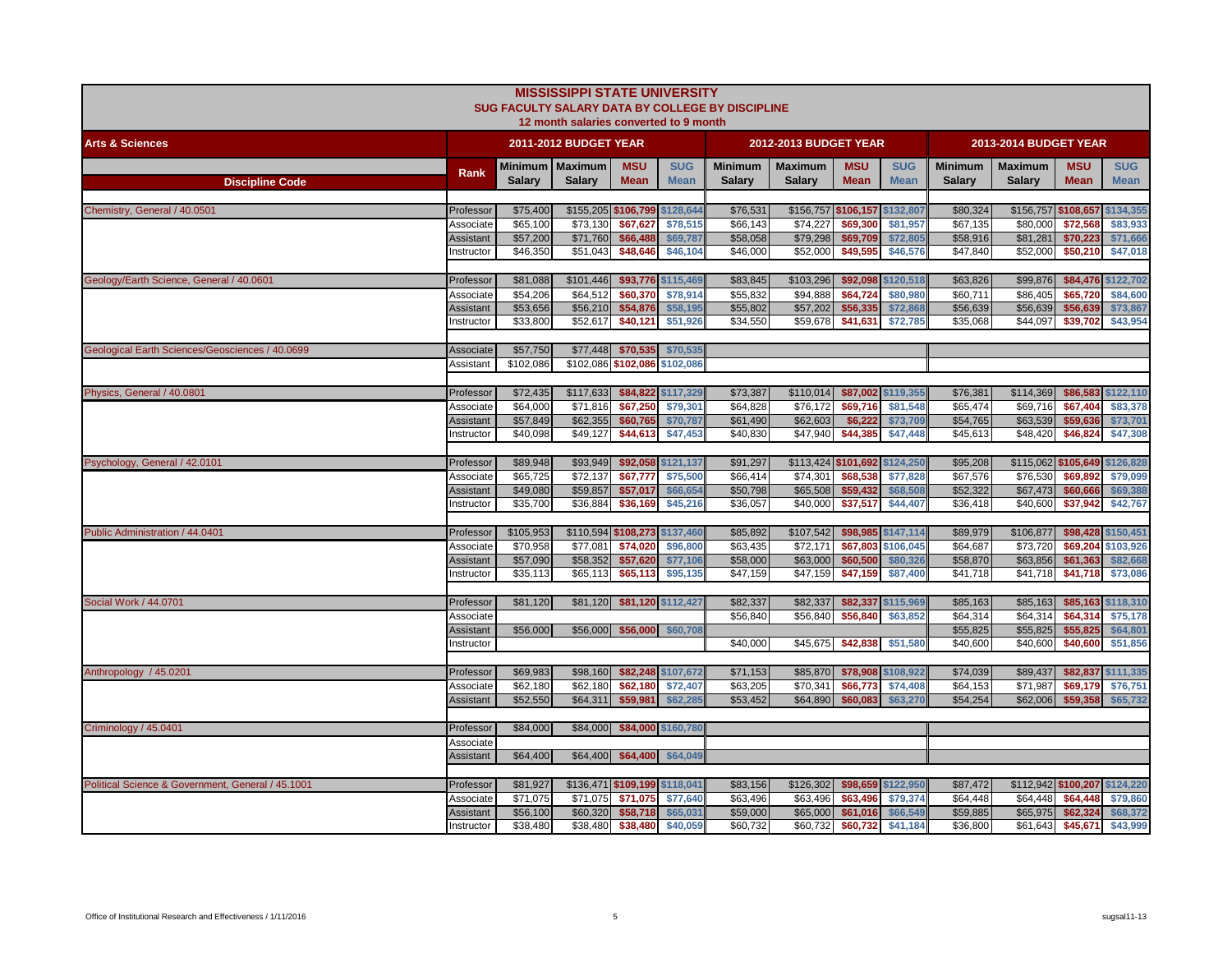|                                                   |                  |               | <b>MISSISSIPPI STATE UNIVERSITY</b><br>12 month salaries converted to 9 month |             |                    | SUG FACULTY SALARY DATA BY COLLEGE BY DISCIPLINE |                               |             |                    |                |                       |                               |                   |
|---------------------------------------------------|------------------|---------------|-------------------------------------------------------------------------------|-------------|--------------------|--------------------------------------------------|-------------------------------|-------------|--------------------|----------------|-----------------------|-------------------------------|-------------------|
| <b>Arts &amp; Sciences</b>                        |                  |               | <b>2011-2012 BUDGET YEAR</b>                                                  |             |                    |                                                  | <b>2012-2013 BUDGET YEAR</b>  |             |                    |                | 2013-2014 BUDGET YEAR |                               |                   |
|                                                   | Rank             | Minimum       | <b>Maximum</b>                                                                | <b>MSU</b>  | <b>SUG</b>         | <b>Minimum</b>                                   | <b>Maximum</b>                | <b>MSU</b>  | <b>SUG</b>         | <b>Minimum</b> | <b>Maximum</b>        | <b>MSU</b>                    | <b>SUG</b>        |
| <b>Discipline Code</b>                            |                  | <b>Salary</b> | <b>Salary</b>                                                                 | <b>Mean</b> | <b>Mean</b>        | <b>Salary</b>                                    | <b>Salary</b>                 | <b>Mean</b> | <b>Mean</b>        | <b>Salary</b>  | <b>Salary</b>         | <b>Mean</b>                   | <b>Mean</b>       |
| Chemistry, General / 40.0501                      | Professor        | \$75,400      | \$155,205 \$106,799                                                           |             | \$128,644          | \$76,531                                         | \$156,757 \$106,157 \$132,807 |             |                    | \$80,324       | \$156,757 \$108,657   |                               | \$134,355         |
|                                                   | Associate        | \$65,100      | \$73,130                                                                      | \$67,627    | \$78,515           | \$66,143                                         | \$74,227                      | \$69,300    | \$81,957           | \$67,135       | \$80,000              | \$72,568                      | \$83,933          |
|                                                   | <b>Assistant</b> | \$57,200      | \$71,760                                                                      | \$66,488    | \$69,787           | \$58,058                                         | \$79,298                      | \$69,709    | \$72,805           | \$58,916       | \$81,281              | \$70,223                      | \$71,666          |
|                                                   | nstructor        | \$46,350      | \$51,043                                                                      | \$48,646    | \$46,104           | \$46,000                                         | \$52,000                      | \$49,595    | \$46,576           | \$47,840       | \$52,000              | \$50,210                      | \$47,018          |
| Geology/Earth Science, General / 40.0601          | Professor        | \$81,088      | \$101,446                                                                     |             | \$93,776 \$115,469 | \$83,845                                         | \$103,296                     |             | \$92,098 \$120,518 | \$63,826       | \$99,876              | \$84,476 \$122,702            |                   |
|                                                   | Associate        | \$54,206      | \$64,512                                                                      | \$60,370    | \$78,914           | \$55,832                                         | \$94,888                      | \$64,724    | \$80,980           | \$60,711       | \$86,405              | \$65,720                      | \$84,600          |
|                                                   | <b>Assistant</b> | \$53,656      | \$56,210                                                                      | \$54,876    | \$58,195           | \$55,802                                         | \$57,202                      | \$56,335    | \$72,868           | \$56,639       | \$56,639              | \$56,639                      | \$73,867          |
|                                                   | nstructor        | \$33,800      | \$52,617                                                                      | \$40,121    | \$51,926           | \$34,550                                         | \$59,678                      | \$41,631    | \$72,785           | \$35,068       | \$44,097              | \$39,702                      | \$43,954          |
| Geological Earth Sciences/Geosciences / 40.0699   | Associate        | \$57,750      | \$77,448                                                                      | \$70,535    | \$70,535           |                                                  |                               |             |                    |                |                       |                               |                   |
|                                                   | Assistant        | \$102,086     | \$102.086 \$102.086                                                           |             | \$102.086          |                                                  |                               |             |                    |                |                       |                               |                   |
|                                                   |                  |               |                                                                               |             |                    |                                                  |                               |             |                    |                |                       |                               |                   |
| Physics, General / 40.0801                        | Professor        | \$72,435      | \$117,633                                                                     |             | \$84,822 \$117,329 | \$73,387                                         | \$110,014                     |             | \$87,002 \$119,355 | \$76,381       | \$114,369             | \$86,583                      | \$122,110         |
|                                                   | Associate        | \$64,000      | \$71,816                                                                      | \$67,250    | \$79,301           | \$64,828                                         | \$76,172                      | \$69,716    | \$81,548           | \$65,474       | \$69,716              | \$67,404                      | \$83,378          |
|                                                   | <b>Assistant</b> | \$57,849      | \$62,355                                                                      | \$60,765    | \$70,787           | \$61,490                                         | \$62,603                      | \$6,222     | \$73,709           | \$54,765       | \$63,539              | \$59,636                      | \$73,701          |
|                                                   | nstructor        | \$40,098      | \$49,127                                                                      | \$44,613    | \$47,453           | \$40,830                                         | \$47,940                      | \$44,385    | \$47,448           | \$45,613       | \$48,420              | \$46,824                      | \$47,308          |
| Psychology, General / 42.0101                     | Professor        | \$89,948      | \$93,949                                                                      |             | \$92,058 \$121,137 | \$91,297                                         | \$113,424 \$101,692 \$124,250 |             |                    | \$95,208       |                       | \$115,062 \$105,649 \$126,828 |                   |
|                                                   | Associate        | \$65,725      | \$72,137                                                                      | \$67,777    | \$75,500           | \$66,414                                         | \$74,301                      | \$68,538    | \$77,828           | \$67,576       | \$76,530              | \$69,892                      | \$79,099          |
|                                                   | <b>Assistant</b> | \$49,080      | \$59,857                                                                      | \$57,017    | \$66,654           | \$50,798                                         | \$65,508                      | \$59,432    | \$68,508           | \$52,322       | \$67,473              | \$60,666                      | \$69,388          |
|                                                   | nstructor        | \$35,700      | \$36,884                                                                      | \$36,169    | \$45,216           | \$36,057                                         | \$40,000                      | \$37,517    | \$44,407           | \$36,418       | \$40,600              | \$37,942                      | \$42,767          |
| Public Administration / 44.0401                   | Professor        | \$105,953     | \$110,594 \$108,273 \$137,460                                                 |             |                    | \$85,892                                         | \$107,542                     |             | \$98,985 \$147,114 | \$89,979       | \$106,877             | \$98,428                      | \$150,451         |
|                                                   | Associate        | \$70,958      | \$77.081                                                                      | \$74,020    | \$96,800           | \$63,435                                         | \$72.171                      | \$67,803    | \$106,045          | \$64,687       | \$73,720              | \$69,204                      | \$103,926         |
|                                                   | <b>Assistant</b> | \$57,090      | \$58,352                                                                      | \$57,620    | \$77,106           | \$58,000                                         | \$63,000                      | \$60,500    | \$80,326           | \$58,870       | \$63,856              | \$61,363                      | \$82,668          |
|                                                   | nstructor        | \$35,113      | \$65,113                                                                      | \$65,113    | \$95,135           | \$47,159                                         | \$47,159                      | \$47,159    | \$87,400           | \$41,718       | \$41,718              | \$41,718                      | \$73,086          |
| Social Work / 44.0701                             | Professor        | \$81,120      | \$81,120                                                                      |             | \$81,120 \$112,427 | \$82,337                                         | \$82,337                      |             | \$82,337 \$115,969 | \$85,163       | \$85,163              | \$85,163 \$118,310            |                   |
|                                                   | Associate        |               |                                                                               |             |                    | \$56,840                                         | \$56,840                      | \$56,840    | \$63,852           | \$64,314       | \$64,314              | \$64,314                      | \$75,178          |
|                                                   | <b>Assistant</b> | \$56,000      | \$56,000                                                                      | \$56,000    | \$60,708           |                                                  |                               |             |                    | \$55,825       | \$55,825              | \$55,825                      | \$64,801          |
|                                                   | nstructor        |               |                                                                               |             |                    | \$40,000                                         | \$45,675                      | \$42,838    | \$51,580           | \$40,600       | \$40,600              | \$40,600                      | \$51,856          |
| Anthropology / 45.0201                            | Professor        | \$69,983      | \$98,160                                                                      |             | \$82,248 \$107,672 | \$71,153                                         | \$85,870                      |             | \$78,908 \$108,922 | \$74,039       | \$89,437              | \$82,837 \$111,335            |                   |
|                                                   | Associate        | \$62,180      | \$62,180                                                                      | \$62,180    | \$72,407           | \$63,205                                         | \$70,341                      | \$66,773    | \$74,408           | \$64,153       | \$71,987              | \$69,179                      | \$76,751          |
|                                                   | <b>Assistant</b> | \$52,550      | \$64,311                                                                      | \$59,981    | \$62,285           | \$53,452                                         | \$64,890                      | \$60,083    | \$63,270           | \$54,254       | \$62,006              | \$59,358                      | \$65,732          |
|                                                   |                  |               |                                                                               |             |                    |                                                  |                               |             |                    |                |                       |                               |                   |
| Criminology / 45.0401                             | Professor        | \$84,000      | \$84,000                                                                      |             | \$84,000 \$160,780 |                                                  |                               |             |                    |                |                       |                               |                   |
|                                                   | Associate        |               |                                                                               |             |                    |                                                  |                               |             |                    |                |                       |                               |                   |
|                                                   | <b>Assistant</b> | \$64,400      | \$64,400                                                                      | \$64,400    | \$64,049           |                                                  |                               |             |                    |                |                       |                               |                   |
| Political Science & Government, General / 45.1001 | Professor        | \$81,927      | \$136,471 \$109,199 \$118,041                                                 |             |                    | \$83,156                                         | \$126,302                     |             | \$98,659 \$122,950 | \$87,472       |                       | \$112,942 \$100,207 \$124,220 |                   |
|                                                   | Associate        | \$71,075      | \$71,075                                                                      | \$71,075    | \$77,640           | \$63,496                                         | \$63,496                      | \$63,496    | \$79,374           | \$64,448       | \$64,448              | \$64,448                      | \$79,860          |
|                                                   | <b>Assistant</b> | \$56,100      | \$60,320                                                                      | \$58,718    | \$65,031           | \$59,000                                         | \$65,000                      | \$61,016    | \$66,549           | \$59,885       | \$65,975              | \$62,324                      | \$68,372          |
|                                                   | Instructor       | \$38,480      | \$38,480                                                                      | \$38,480    | \$40,059           | \$60,732                                         | \$60,732                      | \$60,732    | \$41,184           | \$36,800       | \$61,643              |                               | \$45,671 \$43,999 |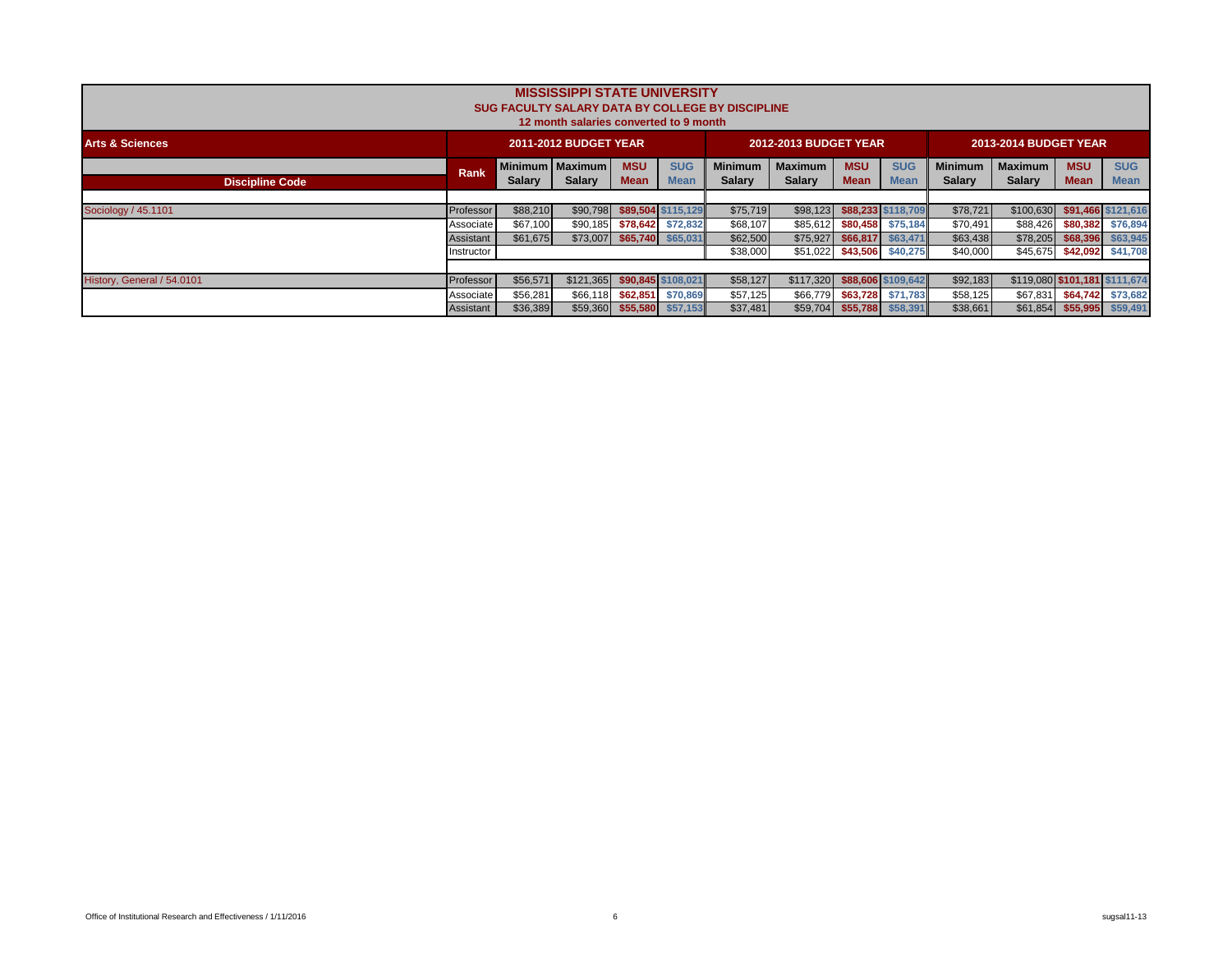|                            |             |               | <b>MISSISSIPPI STATE UNIVERSITY</b><br>12 month salaries converted to 9 month |                           |                            | SUG FACULTY SALARY DATA BY COLLEGE BY DISCIPLINE |                                 |                            |                           |                                 |                                 |                            |                           |
|----------------------------|-------------|---------------|-------------------------------------------------------------------------------|---------------------------|----------------------------|--------------------------------------------------|---------------------------------|----------------------------|---------------------------|---------------------------------|---------------------------------|----------------------------|---------------------------|
| <b>Arts &amp; Sciences</b> |             |               | <b>2011-2012 BUDGET YEAR</b>                                                  |                           |                            |                                                  | 2012-2013 BUDGET YEAR           |                            |                           |                                 | 2013-2014 BUDGET YEAR           |                            |                           |
| <b>Discipline Code</b>     | <b>Rank</b> | <b>Salary</b> | Minimum   Maximum  <br>Salary                                                 | <b>MSU</b><br><b>Mean</b> | <b>SUG</b><br><b>Mean</b>  | <b>Minimum</b><br><b>Salary</b>                  | <b>Maximum</b><br><b>Salary</b> | <b>MSU</b><br><b>Mean</b>  | <b>SUG</b><br><b>Mean</b> | <b>Minimum</b><br><b>Salary</b> | <b>Maximum</b><br><b>Salary</b> | <b>MSU</b><br><b>Mean</b>  | <b>SUG</b><br><b>Mean</b> |
|                            |             |               |                                                                               |                           |                            |                                                  |                                 |                            |                           |                                 |                                 |                            |                           |
| Sociology / 45.1101        | Professor   | \$88,210      | \$90,798                                                                      |                           | \$89,504 \$115,129         | \$75,719                                         | \$98,123                        |                            | \$88,233 \$118,709        | \$78,721                        | \$100,630                       |                            | \$91,466 \$121,616        |
|                            | Associate   | \$67,100      | \$90,185                                                                      | \$78,642                  | \$72,832                   | \$68,107                                         | \$85,612                        | \$80,458                   | \$75,184                  | \$70,491                        | \$88,426                        | \$80,382                   | \$76,894                  |
|                            | Assistant   | \$61,675      |                                                                               |                           | \$73,007 \$65,740 \$65,031 | \$62,500                                         | \$75,927                        | \$66,817                   | \$63,471                  | \$63,438                        | \$78,205                        | \$68,396                   | \$63,945                  |
|                            | Instructor  |               |                                                                               |                           |                            | \$38,000                                         | \$51,022                        | \$43,506 \$40,275          |                           | \$40,000                        | \$45,675                        | \$42,092 \$41,708          |                           |
|                            |             |               |                                                                               |                           |                            |                                                  |                                 |                            |                           |                                 |                                 |                            |                           |
| History, General / 54.0101 | Professor   | \$56,571      | \$121,365 \$90,845 \$108,021                                                  |                           |                            | \$58,127                                         | \$117,320                       |                            | \$88,606 \$109,642        | \$92,183                        | \$119,080 \$101,181 \$111,674   |                            |                           |
|                            | Associate   | \$56,281      | \$66,118                                                                      |                           | \$62,851 \$70,869          | \$57,125                                         | \$66,779                        | \$63,728                   | \$71,783                  | \$58,125                        | \$67,831                        |                            | \$64,742 \$73,682         |
|                            | Assistant   | \$36,389      |                                                                               |                           | \$59,360 \$55,580 \$57,153 | \$37,481                                         |                                 | \$59,704 \$55,788 \$58,391 |                           | \$38,661                        |                                 | \$61,854 \$55,995 \$59,491 |                           |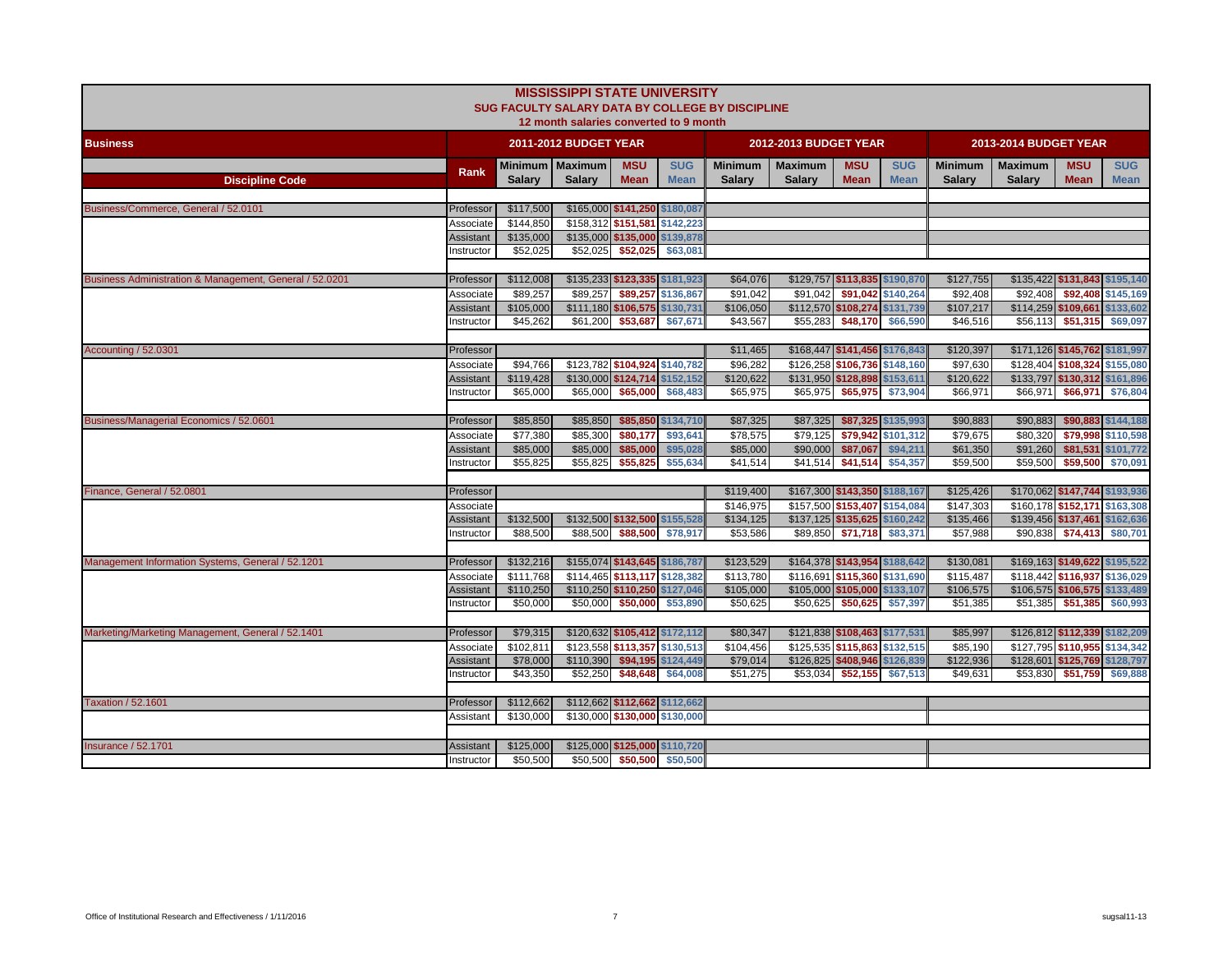|                                                         |                  |               | <b>MISSISSIPPI STATE UNIVERSITY</b><br>12 month salaries converted to 9 month |                               |                    | SUG FACULTY SALARY DATA BY COLLEGE BY DISCIPLINE |                               |                               |                    |                |                       |                               |                    |
|---------------------------------------------------------|------------------|---------------|-------------------------------------------------------------------------------|-------------------------------|--------------------|--------------------------------------------------|-------------------------------|-------------------------------|--------------------|----------------|-----------------------|-------------------------------|--------------------|
| <b>Business</b>                                         |                  |               | 2011-2012 BUDGET YEAR                                                         |                               |                    |                                                  | 2012-2013 BUDGET YEAR         |                               |                    |                | 2013-2014 BUDGET YEAR |                               |                    |
|                                                         | Rank             |               | Minimum   Maximum                                                             | <b>MSU</b>                    | <b>SUG</b>         | <b>Minimum</b>                                   | <b>Maximum</b>                | <b>MSU</b>                    | <b>SUG</b>         | <b>Minimum</b> | <b>Maximum</b>        | <b>MSU</b>                    | <b>SUG</b>         |
| <b>Discipline Code</b>                                  |                  | <b>Salary</b> | <b>Salarv</b>                                                                 | <b>Mean</b>                   | <b>Mean</b>        | <b>Salary</b>                                    | <b>Salarv</b>                 | <b>Mean</b>                   | <b>Mean</b>        | <b>Salary</b>  | <b>Salary</b>         | <b>Mean</b>                   | <b>Mean</b>        |
|                                                         |                  |               |                                                                               |                               |                    |                                                  |                               |                               |                    |                |                       |                               |                    |
| Business/Commerce, General / 52.0101                    | Professor        | \$117,500     | \$165,000 \$141,250 \$180,087                                                 |                               |                    |                                                  |                               |                               |                    |                |                       |                               |                    |
|                                                         | Associate        | \$144,850     | \$158,312 \$151,581 \$142,223                                                 |                               |                    |                                                  |                               |                               |                    |                |                       |                               |                    |
|                                                         | Assistant        | \$135,000     |                                                                               | \$135,000 \$135,000 \$139,878 |                    |                                                  |                               |                               |                    |                |                       |                               |                    |
|                                                         | nstructor        | \$52,025      | \$52,025                                                                      | \$52,025                      | \$63,081           |                                                  |                               |                               |                    |                |                       |                               |                    |
| Business Administration & Management, General / 52.0201 | Professor        | \$112,008     | \$135,233 \$123,335 \$181,923                                                 |                               |                    | \$64,076                                         |                               | \$129,757 \$113,835 \$190,870 |                    | \$127,755      |                       | \$135,422 \$131,843 \$195,140 |                    |
|                                                         | Associate        | \$89,257      | \$89,257                                                                      |                               | \$89,257 \$136,867 | \$91,042                                         | \$91,042                      |                               | \$91,042 \$140,264 | \$92,408       | \$92,408              |                               | \$92,408 \$145,169 |
|                                                         | <b>Assistant</b> | \$105,000     | \$111,180 \$106,575 \$130,731                                                 |                               |                    | \$106,050                                        |                               | \$112,570 \$108,274 \$131,739 |                    | \$107,217      |                       | \$114,259 \$109,661 \$133,602 |                    |
|                                                         | nstructor        | \$45,262      | \$61,200                                                                      | \$53,687                      | \$67,671           | \$43,567                                         | \$55,283                      |                               | \$48,170 \$66,590  | \$46,516       | \$56,113              | \$51,315                      | \$69,097           |
|                                                         |                  |               |                                                                               |                               |                    |                                                  |                               |                               |                    |                |                       |                               |                    |
| Accounting / 52.0301                                    | Professor        |               |                                                                               |                               |                    | \$11,465                                         |                               | \$168,447 \$141,456 \$176,843 |                    | \$120,397      |                       | \$171,126 \$145,762 \$181,997 |                    |
|                                                         | Associate        | \$94,766      | \$123,782 \$104,924 \$140,782                                                 |                               |                    | \$96,282                                         | \$126,258 \$106,736 \$148,160 |                               |                    | \$97,630       |                       | \$128,404 \$108,324 \$155,080 |                    |
|                                                         | Assistant        | \$119,428     | \$130,000 \$124,714 \$152,152                                                 |                               |                    | \$120,622                                        |                               | \$131,950 \$128,898 \$153,611 |                    | \$120,622      |                       | \$133,797 \$130,312 \$161,896 |                    |
|                                                         | nstructor        | \$65,000      | \$65,000                                                                      | \$65,000                      | \$68,483           | \$65,975                                         | \$65,975                      |                               | \$65,975 \$73,904  | \$66,971       | \$66,971              | \$66,971                      | \$76,804           |
|                                                         |                  |               |                                                                               |                               |                    |                                                  |                               |                               |                    |                |                       |                               |                    |
| Business/Managerial Economics / 52.0601                 | Professor        | \$85,850      | \$85,850                                                                      |                               | \$85,850 \$134,710 | \$87,325                                         | \$87,325                      |                               | \$87,325 \$135,993 | \$90,883       | \$90,883              |                               | \$90,883 \$144,188 |
|                                                         | Associate        | \$77,380      | \$85,300                                                                      | \$80,177                      | \$93,641           | \$78,575                                         | \$79,125                      | \$79.942                      | \$101.312          | \$79,675       | \$80,320              |                               | \$79,998 \$110,598 |
|                                                         | Assistant        | \$85,000      | \$85,000                                                                      | \$85,000                      | \$95,028           | \$85,000                                         | \$90,000                      | \$87,067                      | \$94,211           | \$61,350       | \$91,260              |                               | \$81,531 \$101,772 |
|                                                         | nstructor        | \$55,825      | \$55,825                                                                      | \$55,825                      | \$55,634           | \$41,514                                         | \$41,514                      | \$41,514                      | \$54,357           | \$59,500       | \$59,500              | \$59,500                      | \$70,091           |
| Finance, General / 52.0801                              | Professor        |               |                                                                               |                               |                    | \$119,400                                        |                               | \$167,300 \$143,350 \$188,167 |                    | \$125,426      |                       | \$170,062 \$147,744 \$193,936 |                    |
|                                                         | Associate        |               |                                                                               |                               |                    | \$146,975                                        | \$157,500 \$153,407 \$154,084 |                               |                    | \$147,303      |                       | \$160,178 \$152,171 \$163,308 |                    |
|                                                         | <b>Assistant</b> | \$132,500     | \$132,500 \$132,500 \$155,528                                                 |                               |                    | \$134,125                                        |                               | \$137,125 \$135,625 \$160,242 |                    | \$135,466      |                       | \$139,456 \$137,461 \$162,636 |                    |
|                                                         | nstructor        | \$88,500      | \$88,500                                                                      | \$88,500                      | \$78,917           | \$53,586                                         | \$89,850                      | \$71,718                      | \$83,371           | \$57,988       | \$90,838              | \$74,413                      | \$80,701           |
|                                                         |                  |               |                                                                               |                               |                    |                                                  |                               |                               |                    |                |                       |                               |                    |
| Management Information Systems, General / 52.1201       | Professor        | \$132,216     | \$155,074 \$143,645 \$186,787                                                 |                               |                    | \$123,529                                        |                               | \$164,378 \$143,954 \$188,642 |                    | \$130,081      |                       | \$169,163 \$149,622 \$195,522 |                    |
|                                                         | Associate        | \$111,768     | \$114,465 \$113,117 \$128,382                                                 |                               |                    | \$113,780                                        |                               | \$116,691 \$115,360 \$131,690 |                    | \$115,487      |                       | \$118,442 \$116,937 \$136,029 |                    |
|                                                         | <b>Assistant</b> | \$110,250     |                                                                               | \$110,250 \$110,250 \$127,046 |                    | \$105,000                                        |                               | \$105,000 \$105,000 \$133,107 |                    | \$106,575      |                       | \$106,575 \$106,575 \$133,489 |                    |
|                                                         | nstructor        | \$50,000      | \$50,000                                                                      | \$50,000                      | \$53,890           | \$50,625                                         | \$50,625                      | \$50,625                      | \$57,397           | \$51,385       | \$51,385              | \$51,385                      | \$60,993           |
|                                                         |                  |               |                                                                               |                               |                    |                                                  |                               |                               |                    |                |                       |                               |                    |
| Marketing/Marketing Management, General / 52.1401       | Professor        | \$79,315      | \$120,632 \$105,412 \$172,112                                                 |                               |                    | \$80,347                                         |                               | \$121,838 \$108,463 \$177,531 |                    | \$85,997       |                       | \$126,812 \$112,339 \$182,209 |                    |
|                                                         | Associate        | \$102,811     | \$123,558 \$113,357 \$130,513                                                 |                               |                    | \$104,456                                        |                               | \$125,535 \$115,863 \$132,515 |                    | \$85,190       |                       | \$127,795 \$110,955 \$134,342 |                    |
|                                                         | Assistant        | \$78,000      | \$110,390                                                                     | \$94,195                      | \$124,449          | \$79,014                                         |                               | \$126,825 \$408,946 \$126,839 |                    | \$122,936      |                       | \$128,601 \$125,769 \$128,797 |                    |
|                                                         | nstructor        | \$43,350      | \$52,250                                                                      | \$48,648                      | \$64,008           | \$51,275                                         | \$53,034                      | \$52,155                      | \$67,513           | \$49,631       | \$53,830              | \$51,759                      | \$69,888           |
|                                                         |                  |               |                                                                               |                               |                    |                                                  |                               |                               |                    |                |                       |                               |                    |
| <b>Taxation / 52.1601</b>                               | Professor        | \$112,662     | \$112,662 \$112,662 \$112,662                                                 |                               |                    |                                                  |                               |                               |                    |                |                       |                               |                    |
|                                                         | Assistant        | \$130,000     | \$130,000 \$130,000 \$130,000                                                 |                               |                    |                                                  |                               |                               |                    |                |                       |                               |                    |
| <b>Insurance / 52.1701</b>                              | Assistant        | \$125,000     | \$125,000 \$125,000 \$110,720                                                 |                               |                    |                                                  |                               |                               |                    |                |                       |                               |                    |
|                                                         | Instructor       | \$50,500      |                                                                               | \$50,500 \$50,500 \$50,500    |                    |                                                  |                               |                               |                    |                |                       |                               |                    |
|                                                         |                  |               |                                                                               |                               |                    |                                                  |                               |                               |                    |                |                       |                               |                    |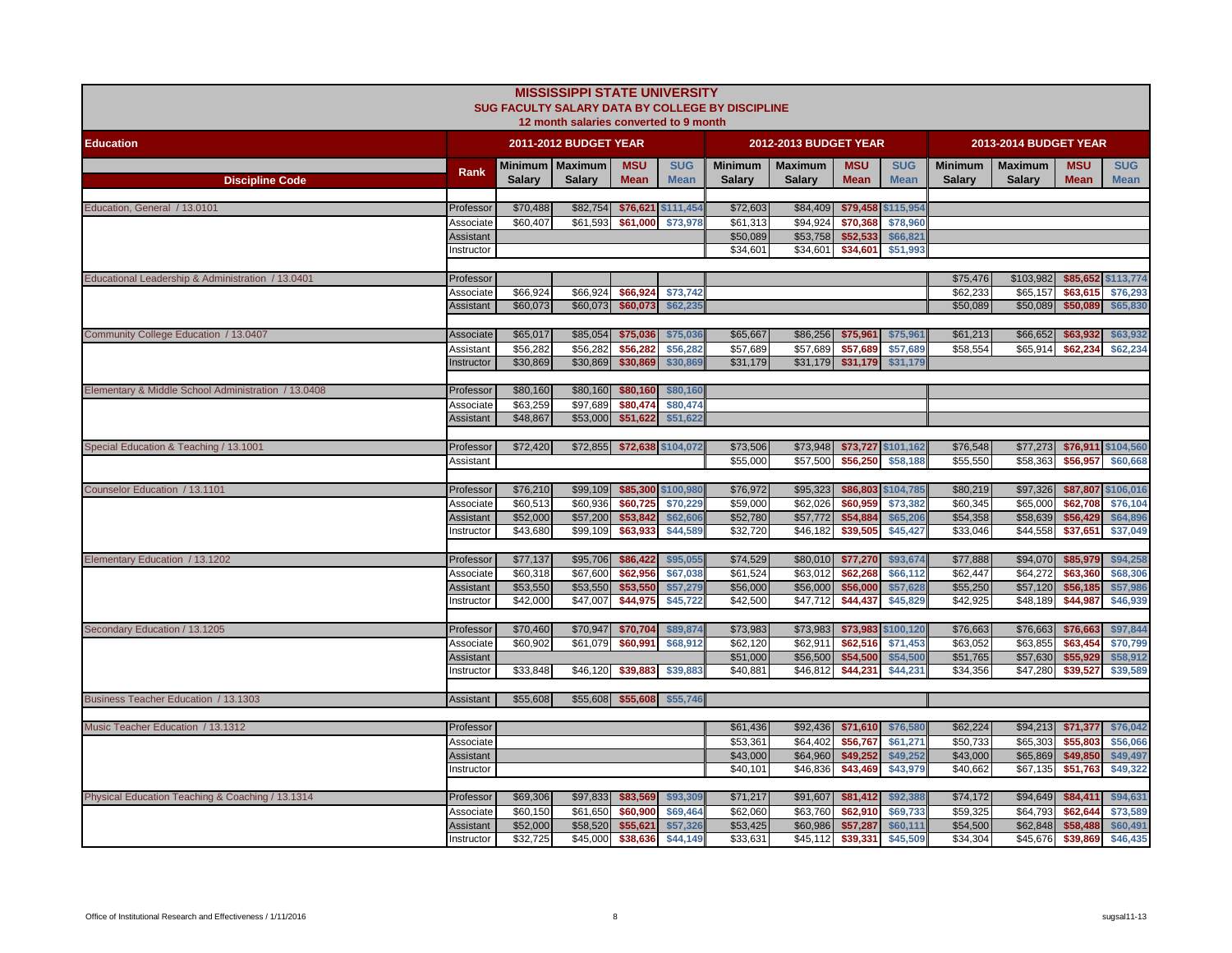|                                                     |                         |                      | <b>MISSISSIPPI STATE UNIVERSITY</b><br>12 month salaries converted to 9 month |                      |                       | SUG FACULTY SALARY DATA BY COLLEGE BY DISCIPLINE |                       |                             |                                |                |                       |                      |                      |
|-----------------------------------------------------|-------------------------|----------------------|-------------------------------------------------------------------------------|----------------------|-----------------------|--------------------------------------------------|-----------------------|-----------------------------|--------------------------------|----------------|-----------------------|----------------------|----------------------|
| <b>Education</b>                                    |                         |                      | 2011-2012 BUDGET YEAR                                                         |                      |                       |                                                  | 2012-2013 BUDGET YEAR |                             |                                |                | 2013-2014 BUDGET YEAR |                      |                      |
|                                                     | Rank                    |                      | Minimum   Maximum                                                             | <b>MSU</b>           | <b>SUG</b>            | Minimum                                          | <b>Maximum</b>        | <b>MSU</b>                  | <b>SUG</b>                     | <b>Minimum</b> | <b>Maximum</b>        | <b>MSU</b>           | <b>SUG</b>           |
| <b>Discipline Code</b>                              |                         | <b>Salarv</b>        | <b>Salarv</b>                                                                 | <b>Mean</b>          | <b>Mean</b>           | <b>Salary</b>                                    | <b>Salary</b>         | <b>Mean</b>                 | <b>Mean</b>                    | <b>Salary</b>  | <b>Salary</b>         | <b>Mean</b>          | <b>Mean</b>          |
|                                                     |                         |                      |                                                                               |                      |                       |                                                  |                       |                             |                                |                |                       |                      |                      |
| Education. General / 13.0101                        | Professor<br>Associate  | \$70,488<br>\$60,407 | \$82,754<br>\$61,593                                                          | \$76,621<br>\$61,000 | \$111,454<br>\$73,978 | \$72,603<br>\$61,313                             | \$84,409<br>\$94,924  | \$70,368                    | \$79,458 \$115,954<br>\$78,960 |                |                       |                      |                      |
|                                                     | Assistant               |                      |                                                                               |                      |                       | \$50,089                                         | \$53,758              | \$52,533                    | \$66,821                       |                |                       |                      |                      |
|                                                     | nstructor               |                      |                                                                               |                      |                       | \$34,601                                         | \$34,601              | \$34,601                    | \$51,993                       |                |                       |                      |                      |
|                                                     |                         |                      |                                                                               |                      |                       |                                                  |                       |                             |                                |                |                       |                      |                      |
| Educational Leadership & Administration / 13.0401   | Professor               |                      |                                                                               |                      |                       |                                                  |                       |                             |                                | \$75,476       | \$103,982             |                      | \$85,652 \$113,774   |
|                                                     | Associate               | \$66,924             | \$66.924                                                                      | \$66,924             | \$73,742              |                                                  |                       |                             |                                | \$62,233       | \$65,157              | \$63,615             | \$76,293             |
|                                                     | Assistant               | \$60,073             | \$60,073                                                                      | \$60,073             | \$62,235              |                                                  |                       |                             |                                | \$50,089       | \$50,089              | \$50,089             | \$65,830             |
|                                                     |                         |                      |                                                                               |                      |                       |                                                  |                       |                             |                                |                |                       |                      |                      |
| Community College Education / 13.0407               | Associate               | \$65,017             | \$85,054                                                                      | \$75,036             | \$75,036              | \$65,667                                         | \$86,256              | \$75,961                    | \$75,961                       | \$61,213       | \$66,652              | \$63,932             | \$63,932             |
|                                                     | Assistant<br>Instructor | \$56,282<br>\$30,869 | \$56,282<br>\$30,869                                                          | \$56,282             | \$56,282<br>\$30,869  | \$57,689<br>\$31,179                             | \$57,689<br>\$31,179  | \$57,689                    | \$57,689<br>\$31,179           | \$58,554       | \$65,914              | \$62,234             | \$62,234             |
|                                                     |                         |                      |                                                                               | \$30,869             |                       |                                                  |                       | \$31,179                    |                                |                |                       |                      |                      |
| Elementary & Middle School Administration / 13.0408 | Professor               | \$80,160             | \$80,160                                                                      | \$80,160             | \$80,160              |                                                  |                       |                             |                                |                |                       |                      |                      |
|                                                     | Associate               | \$63.259             | \$97.689                                                                      | \$80,474             | \$80,474              |                                                  |                       |                             |                                |                |                       |                      |                      |
|                                                     | Assistant               | \$48,867             | \$53,000                                                                      | \$51,622             | \$51,622              |                                                  |                       |                             |                                |                |                       |                      |                      |
|                                                     |                         |                      |                                                                               |                      |                       |                                                  |                       |                             |                                |                |                       |                      |                      |
| Special Education & Teaching / 13.1001              | Professor               | \$72,420             | \$72,855                                                                      | \$72,638 \$104,072   |                       | \$73,506                                         | \$73,948              |                             | \$73,727 \$101,162             | \$76,548       | \$77,273              | \$76,911             | \$104,560            |
|                                                     | Assistant               |                      |                                                                               |                      |                       | \$55,000                                         | \$57,500              | \$56,250                    | \$58,188                       | \$55,550       | \$58,363              | \$56,957             | \$60,668             |
|                                                     |                         |                      |                                                                               |                      |                       |                                                  |                       |                             |                                |                |                       |                      |                      |
| Counselor Education / 13.1101                       | Professor               | \$76,210             | \$99,109                                                                      |                      | \$85,300 \$100,980    | \$76,972                                         | \$95,323              |                             | \$86,803 \$104,785             | \$80,219       | \$97,326              | \$87,807             | \$106,016            |
|                                                     | Associate               | \$60,513             | \$60,936                                                                      | \$60,725             | \$70,229              | \$59,000                                         | \$62,026              | \$60,959                    | \$73,382                       | \$60,345       | \$65,000              | \$62,708             | \$76,104             |
|                                                     | Assistant               | \$52,000<br>\$43,680 | \$57,200<br>\$99,109                                                          | \$53,842<br>\$63,933 | \$62,606<br>\$44,589  | \$52,780                                         | \$57,772<br>\$46,182  | \$54,884                    | \$65,206<br>\$45,427           | \$54,358       | \$58,639<br>\$44,558  | \$56,429<br>\$37,651 | \$64,896<br>\$37,049 |
|                                                     | nstructor               |                      |                                                                               |                      |                       | \$32,720                                         |                       | \$39,505                    |                                | \$33,046       |                       |                      |                      |
| Elementary Education / 13.1202                      | Professor               | \$77,137             | \$95,706                                                                      | \$86,422             | \$95,055              | \$74,529                                         | \$80,010              | \$77,270                    | \$93,674                       | \$77,888       | \$94,070              | \$85,979             | \$94,258             |
|                                                     | Associate               | \$60,318             | \$67,600                                                                      | \$62,956             | \$67,038              | \$61,524                                         | \$63,012              | \$62,268                    | \$66,112                       | \$62,447       | \$64,272              | \$63,360             | \$68,306             |
|                                                     | Assistant               | \$53,550             | \$53,550                                                                      | \$53,550             | \$57,279              | \$56,000                                         | \$56,000              | \$56,000                    | \$57,628                       | \$55,250       | \$57,120              | \$56,185             | \$57,986             |
|                                                     | Instructor              | \$42,000             | \$47,007                                                                      | \$44,975             | \$45,722              | \$42,500                                         | \$47,712              | \$44,437                    | \$45,829                       | \$42,925       | \$48,189              | \$44,987             | \$46,939             |
|                                                     |                         |                      |                                                                               |                      |                       |                                                  |                       |                             |                                |                |                       |                      |                      |
| Secondary Education / 13.1205                       | Professor               | \$70,460             | \$70,947                                                                      | \$70,704             | \$89,874              | \$73,983                                         |                       | \$73,983 \$73,983 \$100,120 |                                | \$76,663       | \$76,663              | \$76,663             | \$97,844             |
|                                                     | Associate               | \$60,902             | \$61,079                                                                      | \$60,991             | \$68,912              | \$62,120                                         | \$62.911              | \$62,516                    | \$71,453                       | \$63.052       | \$63,855              | \$63,454             | \$70,799             |
|                                                     | <b>Assistant</b>        |                      |                                                                               |                      |                       | \$51,000                                         | \$56,500              | \$54,500                    | \$54,500                       | \$51,765       | \$57,630              | \$55,929             | \$58,912             |
|                                                     | nstructor               | \$33,848             | \$46,120                                                                      | \$39,883             | \$39,883              | \$40,881                                         |                       | \$46,812 \$44,231           | \$44,231                       | \$34,356       | \$47,280              | \$39,527             | \$39,589             |
| Business Teacher Education / 13.1303                | Assistant               | \$55,608             |                                                                               | \$55,608 \$55,608    | \$55,746              |                                                  |                       |                             |                                |                |                       |                      |                      |
|                                                     |                         |                      |                                                                               |                      |                       |                                                  |                       |                             |                                |                |                       |                      |                      |
| Music Teacher Education / 13.1312                   | Professor               |                      |                                                                               |                      |                       | \$61,436                                         | \$92,436              | \$71,610                    | \$76,580                       | \$62,224       | \$94,213              | \$71,377             | \$76,042             |
|                                                     | Associate               |                      |                                                                               |                      |                       | \$53,361                                         | \$64,402              | \$56,767                    | \$61,271                       | \$50,733       | \$65,303              | \$55,803             | \$56,066             |
|                                                     | Assistant               |                      |                                                                               |                      |                       | \$43,000                                         | \$64,960              | \$49,252                    | \$49,252                       | \$43,000       | \$65,869              | \$49,850             | \$49,497             |
|                                                     | nstructor               |                      |                                                                               |                      |                       | \$40,101                                         | \$46,836              | \$43,469                    | \$43,979                       | \$40,662       | \$67,135              | \$51,763             | \$49,322             |
|                                                     |                         |                      |                                                                               |                      |                       |                                                  |                       |                             |                                |                |                       |                      |                      |
| Physical Education Teaching & Coaching / 13.1314    | Professor               | \$69,306             | \$97,833                                                                      | \$83,569             | \$93,309              | \$71,217                                         | \$91,607              | \$81,412                    | \$92,388                       | \$74,172       | \$94,649              | \$84,411             | \$94,631             |
|                                                     | Associate               | \$60,150             | \$61,650                                                                      | \$60,900             | \$69,464              | \$62,060                                         | \$63,760              | \$62,910                    | \$69,733                       | \$59,325       | \$64,793              | \$62,644             | \$73,589             |
|                                                     | <b>Assistant</b>        | \$52,000             | \$58,520                                                                      | \$55,621             | \$57,326              | \$53,425                                         | \$60,986              | \$57,287                    | \$60,111                       | \$54,500       | \$62,848              | \$58,488             | \$60,491             |
|                                                     | Instructor              | \$32,725             | \$45,000                                                                      | \$38,636             | \$44,149              | \$33,631                                         | \$45,112              | \$39,331                    | \$45,509                       | \$34,304       | \$45,676              | \$39,869             | \$46,435             |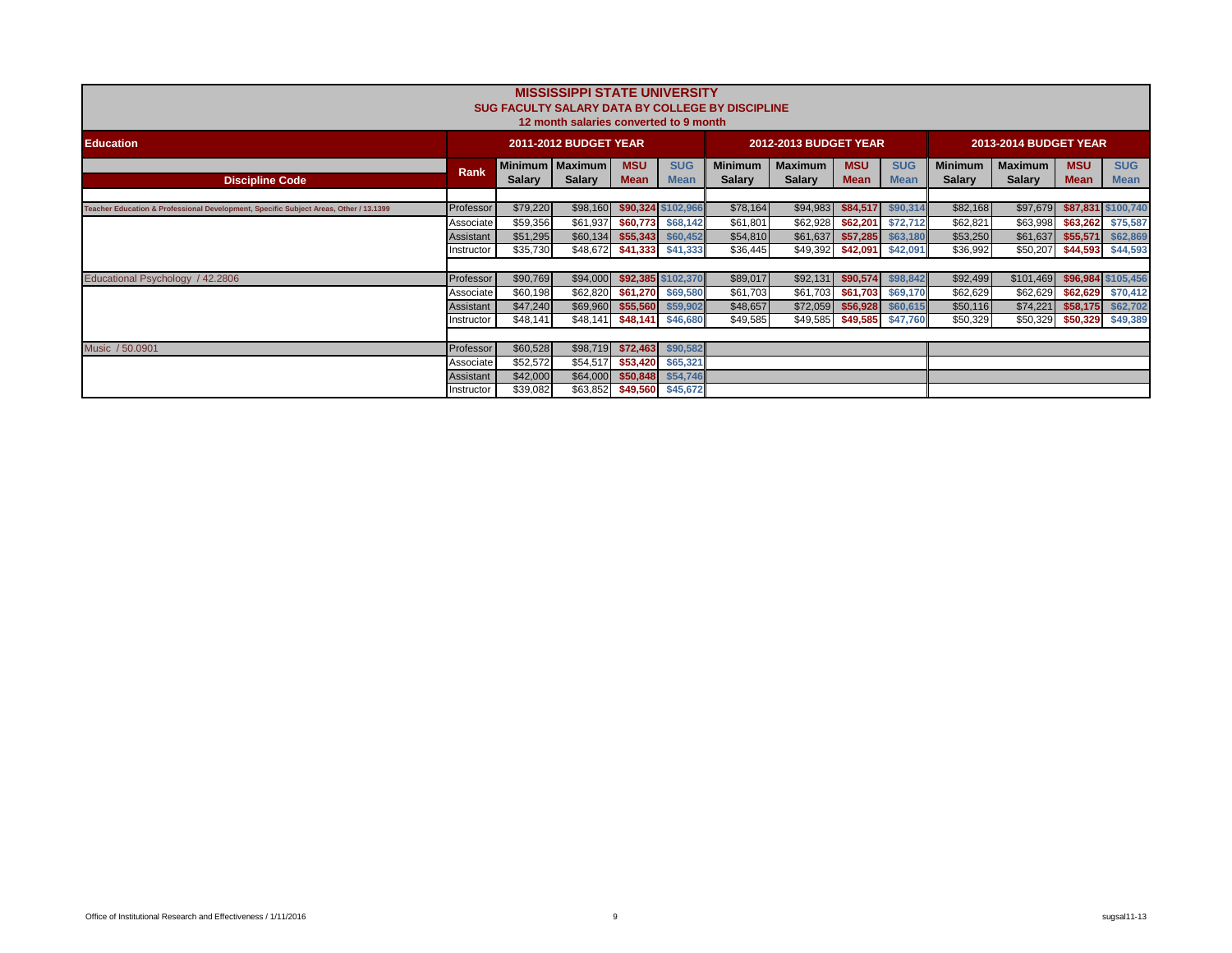|                                                                                       |                        |                      | <b>MISSISSIPPI STATE UNIVERSITY</b><br>12 month salaries converted to 9 month |                           |                           | <b>SUG FACULTY SALARY DATA BY COLLEGE BY DISCIPLINE</b> |                                 |                           |                           |                                 |                          |                           |                                        |
|---------------------------------------------------------------------------------------|------------------------|----------------------|-------------------------------------------------------------------------------|---------------------------|---------------------------|---------------------------------------------------------|---------------------------------|---------------------------|---------------------------|---------------------------------|--------------------------|---------------------------|----------------------------------------|
| <b>Education</b>                                                                      |                        |                      | <b>2011-2012 BUDGET YEAR</b>                                                  |                           |                           |                                                         | <b>2012-2013 BUDGET YEAR</b>    |                           |                           |                                 | 2013-2014 BUDGET YEAR    |                           |                                        |
| <b>Discipline Code</b>                                                                | <b>Rank</b>            | <b>Salary</b>        | <b>Minimum   Maximum</b><br><b>Salary</b>                                     | <b>MSU</b><br><b>Mean</b> | <b>SUG</b><br><b>Mean</b> | <b>Minimum</b><br><b>Salary</b>                         | <b>Maximum</b><br><b>Salary</b> | <b>MSU</b><br><b>Mean</b> | <b>SUG</b><br><b>Mean</b> | <b>Minimum</b><br><b>Salary</b> | Maximum<br><b>Salary</b> | <b>MSU</b><br><b>Mean</b> | <b>SUG</b><br><b>Mean</b>              |
| Teacher Education & Professional Development, Specific Subject Areas, Other / 13.1399 | Professor              | \$79,220             | \$98,160                                                                      |                           | \$90,324 \$102,966        | \$78,164                                                | \$94,983                        | \$84,517                  | \$90,314                  | \$82,168                        | \$97,679                 |                           | \$87,831 \$100,740                     |
|                                                                                       | Associate<br>Assistant | \$59,356<br>\$51,295 | \$61,937<br>\$60,134                                                          | \$60,773<br>\$55,343      | \$68,142<br>\$60,452      | \$61,801<br>\$54,810                                    | \$62,928<br>\$61,637            | \$62,201<br>\$57,285      | \$72,712<br>\$63,180      | \$62,821<br>\$53,250            | \$63,998<br>\$61,637     |                           | \$63,262 \$75,587<br>\$55,571 \$62,869 |
|                                                                                       | Instructor             | \$35,730             | \$48,672                                                                      |                           | \$41,333 \$41,333         | \$36,445                                                | \$49,392                        | \$42,091 \$42,091         |                           | \$36,992                        | \$50,207                 |                           | \$44,593 \$44,593                      |
| Educational Psychology / 42.2806                                                      | Professor              | \$90,769             | \$94,000                                                                      |                           | \$92,385 \$102,370        | \$89,017                                                | \$92,131                        | \$90,574                  | \$98,842                  | \$92,499                        | \$101,469                |                           | \$96,984 \$105,456                     |
|                                                                                       | Associate<br>Assistant | \$60,198<br>\$47,240 | \$62,820<br>\$69,960                                                          | \$61,270<br>\$55,560      | \$69,580<br>\$59,902      | \$61,703<br>\$48,657                                    | \$61,703<br>\$72,059            | \$61,703<br>\$56,928      | \$69,170<br>\$60,615      | \$62,629<br>\$50,116            | \$62,629<br>\$74,221     | \$58,175                  | \$62,629 \$70,412<br>\$62,702          |
|                                                                                       | Instructor             | \$48,141             | \$48,141                                                                      | \$48,141                  | \$46,680                  | \$49,585                                                | \$49,585                        | \$49,585                  | \$47,760                  | \$50,329                        | \$50,329                 |                           | \$50,329 \$49,389                      |
| Music / 50.0901                                                                       | Professor              | \$60,528             | \$98,719                                                                      | \$72,463                  | \$90,582                  |                                                         |                                 |                           |                           |                                 |                          |                           |                                        |
|                                                                                       | Associate<br>Assistant | \$52,572<br>\$42,000 | \$54,517<br>\$64,000                                                          | \$53,420<br>\$50,848      | \$65,321<br>\$54,746      |                                                         |                                 |                           |                           |                                 |                          |                           |                                        |
|                                                                                       | Instructor             | \$39,082             | \$63,852                                                                      | \$49,560                  | \$45,672                  |                                                         |                                 |                           |                           |                                 |                          |                           |                                        |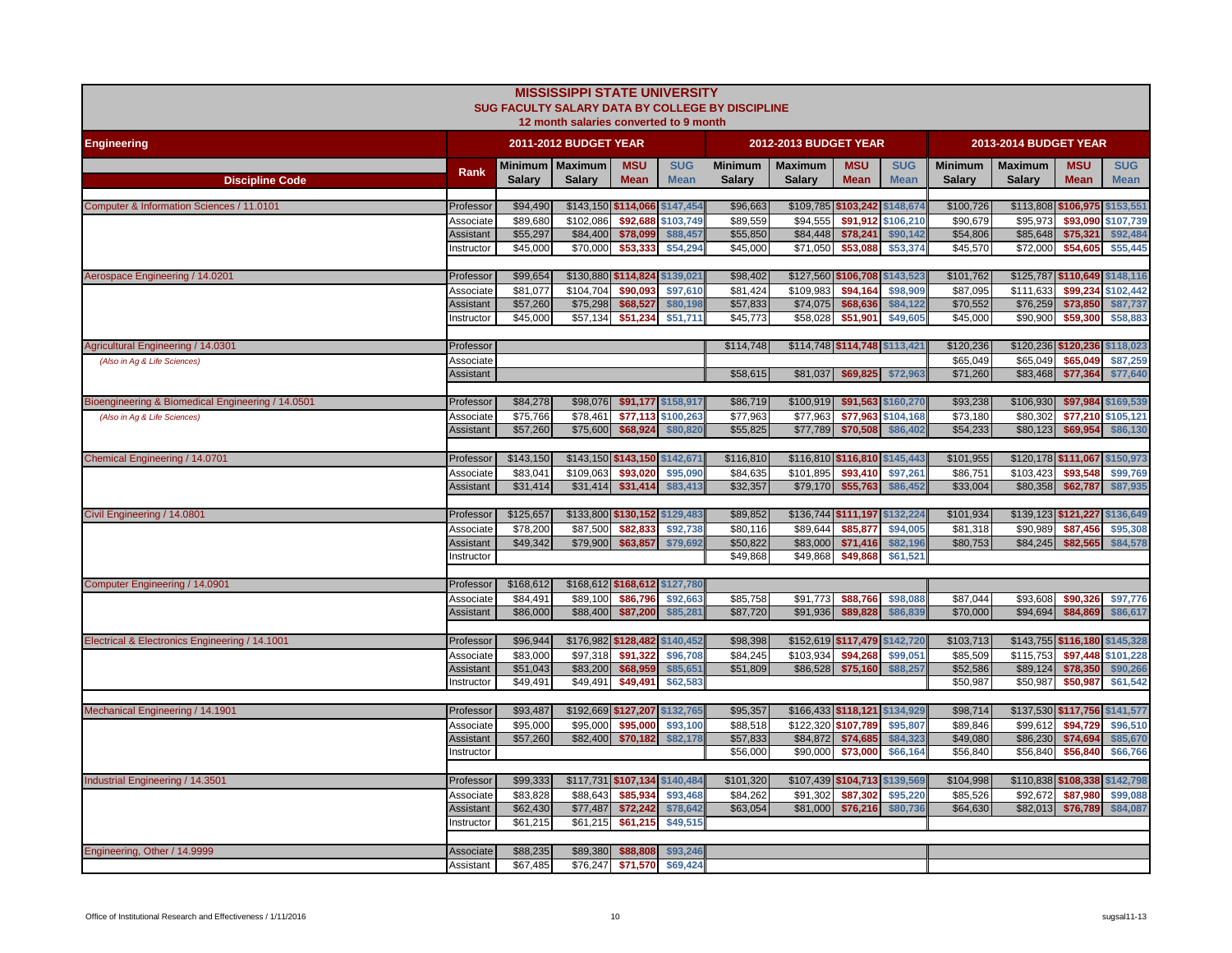|                                                   |                               |                      | <b>MISSISSIPPI STATE UNIVERSITY</b><br>12 month salaries converted to 9 month |                           |                           | SUG FACULTY SALARY DATA BY COLLEGE BY DISCIPLINE |                                 |                           |                           |                                 |                          |                               |                           |
|---------------------------------------------------|-------------------------------|----------------------|-------------------------------------------------------------------------------|---------------------------|---------------------------|--------------------------------------------------|---------------------------------|---------------------------|---------------------------|---------------------------------|--------------------------|-------------------------------|---------------------------|
| <b>Engineering</b>                                |                               |                      | 2011-2012 BUDGET YEAR                                                         |                           |                           |                                                  | 2012-2013 BUDGET YEAR           |                           |                           |                                 | 2013-2014 BUDGET YEAR    |                               |                           |
|                                                   | Rank                          | <b>Salarv</b>        | Minimum   Maximum<br><b>Salary</b>                                            | <b>MSU</b><br><b>Mean</b> | <b>SUG</b><br><b>Mean</b> | <b>Minimum</b><br><b>Salary</b>                  | <b>Maximum</b><br><b>Salary</b> | <b>MSU</b><br><b>Mean</b> | <b>SUG</b><br><b>Mean</b> | <b>Minimum</b><br><b>Salary</b> | <b>Maximum</b><br>Salary | <b>MSU</b><br><b>Mean</b>     | <b>SUG</b><br><b>Mean</b> |
| <b>Discipline Code</b>                            |                               |                      |                                                                               |                           |                           |                                                  |                                 |                           |                           |                                 |                          |                               |                           |
| Computer & Information Sciences / 11.0101         | Professor                     | \$94,490             | \$143,150 \$114,066                                                           |                           | \$147,454                 | \$96,663                                         | \$109,785 \$103,242 \$148,674   |                           |                           | \$100,726                       | \$113,808                | \$106,975                     | \$153,551                 |
|                                                   | Associate                     | \$89,680             | \$102,086                                                                     | \$92,688                  | \$103,749                 | \$89,559                                         | \$94,555                        | \$91,912                  | \$106,210                 | \$90,679                        | \$95,973                 | \$93,090                      | \$107,739                 |
|                                                   | Assistant                     | \$55,297             | \$84,400                                                                      | \$78,099                  | \$88,457                  | \$55,850                                         | \$84,448                        | \$78,241                  | \$90,142                  | \$54,806                        | \$85,648                 | \$75,321                      | \$92,484                  |
|                                                   | nstructor                     | \$45,000             | \$70,000                                                                      | \$53,333                  | \$54,294                  | \$45,000                                         | \$71,050                        | \$53,088                  | \$53,374                  | \$45,570                        | \$72,000                 | \$54,605                      | \$55,445                  |
| Aerospace Engineering / 14.0201                   | Professor                     | \$99,654             | \$130,880 \$114,824                                                           |                           | \$139,021                 | \$98,402                                         | \$127,560 \$106,708 \$143,523   |                           |                           | \$101,762                       | \$125,787                | \$110,649 \$148,116           |                           |
|                                                   | Associate                     | \$81,077             | \$104,704                                                                     | \$90,093                  | \$97,610                  | \$81,424                                         | \$109,983                       | \$94,164                  | \$98,909                  | \$87,095                        | \$111,633                | \$99,234                      | \$102,442                 |
|                                                   | Assistant                     | \$57,260             | \$75,298                                                                      | \$68,527                  | \$80,198                  | \$57,833                                         | \$74,075                        | \$68,636                  | \$84,122                  | \$70,552                        | \$76,259                 | \$73,850                      | \$87,737                  |
|                                                   | nstructor                     | \$45,000             | \$57,134                                                                      | \$51,234                  | \$51,711                  | \$45,773                                         | \$58,028                        | \$51,901                  | \$49,605                  | \$45,000                        | \$90,900                 | \$59,300                      | \$58,883                  |
|                                                   |                               |                      |                                                                               |                           |                           |                                                  |                                 |                           |                           |                                 |                          |                               |                           |
| Agricultural Engineering / 14.0301                | Professor                     |                      |                                                                               |                           |                           | \$114,748                                        | \$114,748 \$114,748 \$113,421   |                           |                           | \$120,236                       | \$120,236                | \$120,236                     | \$118,023                 |
| (Also in Ag & Life Sciences)                      | Associate                     |                      |                                                                               |                           |                           |                                                  |                                 |                           |                           | \$65,049                        | \$65,049                 | \$65,049                      | \$87,259                  |
|                                                   | Assistant                     |                      |                                                                               |                           |                           | \$58,615                                         | \$81,037                        | \$69,825                  | \$72,963                  | \$71,260                        | \$83,468                 | \$77,364                      | \$77,640                  |
| Bioengineering & Biomedical Engineering / 14.0501 | Professor                     | \$84,278             | \$98,076                                                                      |                           | \$91,177 \$158,917        | \$86,719                                         | \$100,919                       |                           | \$91,563 \$160,270        | \$93,238                        | \$106,930                | \$97,984 \$169,539            |                           |
| (Also in Aq & Life Sciences)                      | Associate                     | \$75,766             | \$78,461                                                                      |                           | \$77,113 \$100,263        | \$77,963                                         | \$77,963                        | \$77,963                  | \$104,168                 | \$73,180                        | \$80,302                 | \$77,210 \$105,121            |                           |
|                                                   | <b>Assistant</b>              | \$57,260             | \$75,600                                                                      | \$68,924                  | \$80,820                  | \$55,825                                         | \$77,789                        | \$70,508                  | \$86,402                  | \$54,233                        | \$80,123                 | \$69,954                      | \$86,130                  |
|                                                   |                               |                      |                                                                               |                           |                           |                                                  |                                 |                           |                           |                                 |                          |                               |                           |
| Chemical Engineering / 14.0701                    | Professor                     | \$143,150            | \$143,150 \$143,150 \$142,671                                                 |                           |                           | \$116,810                                        | \$116,810 \$116,810 \$145,443   |                           |                           | \$101,955                       |                          | \$120,178 \$111,067 \$150,973 |                           |
|                                                   | Associate                     | \$83,041             | \$109,063                                                                     | \$93,020                  | \$95,090                  | \$84,635                                         | \$101,895                       | \$93,410                  | \$97,261                  | \$86,751                        | \$103,423                | \$93,548                      | \$99,769                  |
|                                                   | <b>Assistant</b>              | \$31,414             | \$31,414                                                                      | \$31,414                  | \$83,413                  | \$32,357                                         | \$79,170                        | \$55,763                  | \$86,452                  | \$33,004                        | \$80,358                 | \$62,787                      | \$87,935                  |
|                                                   |                               |                      |                                                                               |                           |                           |                                                  |                                 |                           |                           |                                 |                          |                               |                           |
| Civil Engineering / 14.0801                       | Professor                     | \$125,657            | \$133,800 \$130,152 \$129,483                                                 |                           |                           | \$89,852                                         | \$136,744 \$111,197 \$132,224   |                           |                           | \$101,934                       |                          | \$139,123 \$121,227 \$136,649 |                           |
|                                                   | Associate                     | \$78,200             | \$87,500                                                                      | \$82,833                  | \$92,738                  | \$80,116                                         | \$89,644                        | \$85,877                  | \$94,005                  | \$81,318                        | \$90,989                 | \$87,456                      | \$95,308                  |
|                                                   | <b>Assistant</b><br>nstructor | \$49,342             | \$79,900                                                                      | \$63,857                  | \$79,692                  | \$50,822<br>\$49,868                             | \$83,000<br>\$49,868            | \$71,416<br>\$49,868      | \$82,196<br>\$61,521      | \$80,753                        | \$84,245                 | \$82,565                      | \$84,578                  |
|                                                   |                               |                      |                                                                               |                           |                           |                                                  |                                 |                           |                           |                                 |                          |                               |                           |
| Computer Engineering / 14.0901                    | Professor                     | \$168,612            | \$168,612 \$168,612 \$127,780                                                 |                           |                           |                                                  |                                 |                           |                           |                                 |                          |                               |                           |
|                                                   | Associate                     | \$84,491             | \$89,100                                                                      | \$86,796                  | \$92,663                  | \$85,758                                         | \$91,773                        | \$88,766                  | \$98,088                  | \$87,044                        | \$93,608                 | \$90,326                      | \$97,776                  |
|                                                   | <b>Assistant</b>              | \$86,000             | \$88,400                                                                      | \$87,200                  | \$85,281                  | \$87,720                                         | \$91,936                        | \$89,828                  | \$86,839                  | \$70,000                        | \$94,694                 | \$84,869                      | \$86,617                  |
|                                                   |                               |                      |                                                                               |                           |                           |                                                  |                                 |                           |                           |                                 |                          |                               |                           |
| Electrical & Electronics Engineering / 14.1001    | Professor                     | \$96,944             | \$176,982 \$128,482 \$140,452                                                 |                           |                           | \$98,398                                         | \$152,619 \$117,479 \$142,720   |                           |                           | \$103,713                       |                          | \$143,755 \$116,180 \$145,328 |                           |
|                                                   | Associate                     | \$83,000             | \$97,318                                                                      | \$91,322                  | \$96,708                  | \$84,245                                         | \$103,934                       | \$94,268                  | \$99,051                  | \$85,509                        | \$115,753                | \$97,448 \$101,228            |                           |
|                                                   | Assistant<br>Instructor       | \$51,043<br>\$49,491 | \$83,200<br>\$49,491                                                          | \$68,959<br>\$49,491      | \$85,651<br>\$62,583      | \$51,809                                         | \$86,528                        | \$75,160                  | \$88,257                  | \$52,586<br>\$50,987            | \$89,124<br>\$50,987     | \$78,350<br>\$50,987          | \$90,266<br>\$61,542      |
|                                                   |                               |                      |                                                                               |                           |                           |                                                  |                                 |                           |                           |                                 |                          |                               |                           |
| Mechanical Engineering / 14.1901                  | Professor                     | \$93,487             | \$192,669 \$127,207 \$132,765                                                 |                           |                           | \$95,357                                         | \$166,433 \$118,121 \$134,929   |                           |                           | \$98,714                        |                          | \$137,530 \$117,756 \$141,577 |                           |
|                                                   | Associate                     | \$95,000             | \$95,000                                                                      | \$95,000                  | \$93,100                  | \$88,518                                         | \$122,320                       | \$107,789                 | \$95,807                  | \$89,846                        | \$99,612                 | \$94,729                      | \$96,510                  |
|                                                   | Assistant                     | \$57,260             | \$82,400                                                                      | \$70,182                  | \$82,178                  | \$57,833                                         | \$84,872                        | \$74,685                  | \$84,323                  | \$49,080                        | \$86,230                 | \$74,694                      | \$85,670                  |
|                                                   | Instructor                    |                      |                                                                               |                           |                           | \$56,000                                         | \$90,000                        | \$73,000                  | \$66,164                  | \$56,840                        | \$56,840                 | \$56,840                      | \$66,766                  |
|                                                   |                               |                      |                                                                               |                           |                           |                                                  |                                 |                           |                           |                                 |                          |                               |                           |
| Industrial Engineering / 14.3501                  | Professor                     | \$99,333             | \$117,731 \$107,134                                                           |                           | \$140,484                 | \$101,320                                        | \$107,439 \$104,713 \$139,569   |                           |                           | \$104,998                       |                          | \$110,838 \$108,338           | \$142,798                 |
|                                                   | Associate                     | \$83,828             | \$88,643                                                                      | \$85,934                  | \$93,468                  | \$84,262                                         | \$91,302                        | \$87,302                  | \$95,220                  | \$85,526                        | \$92,672                 | \$87,980                      | \$99,088                  |
|                                                   | Assistant                     | \$62,430             | \$77,487                                                                      | \$72,242                  | \$78,642                  | \$63,054                                         | \$81,000                        | \$76,216                  | \$80,736                  | \$64,630                        | \$82,013                 | \$76,789                      | \$84,087                  |
|                                                   | nstructor                     | \$61,215             | \$61,215                                                                      | \$61,215                  | \$49,515                  |                                                  |                                 |                           |                           |                                 |                          |                               |                           |
| Engineering, Other / 14.9999                      | Associate                     | \$88,235             | \$89,380                                                                      | \$88,808                  | \$93,246                  |                                                  |                                 |                           |                           |                                 |                          |                               |                           |
|                                                   | Assistant                     | \$67,485             | \$76,247                                                                      | \$71,570                  | \$69,424                  |                                                  |                                 |                           |                           |                                 |                          |                               |                           |
|                                                   |                               |                      |                                                                               |                           |                           |                                                  |                                 |                           |                           |                                 |                          |                               |                           |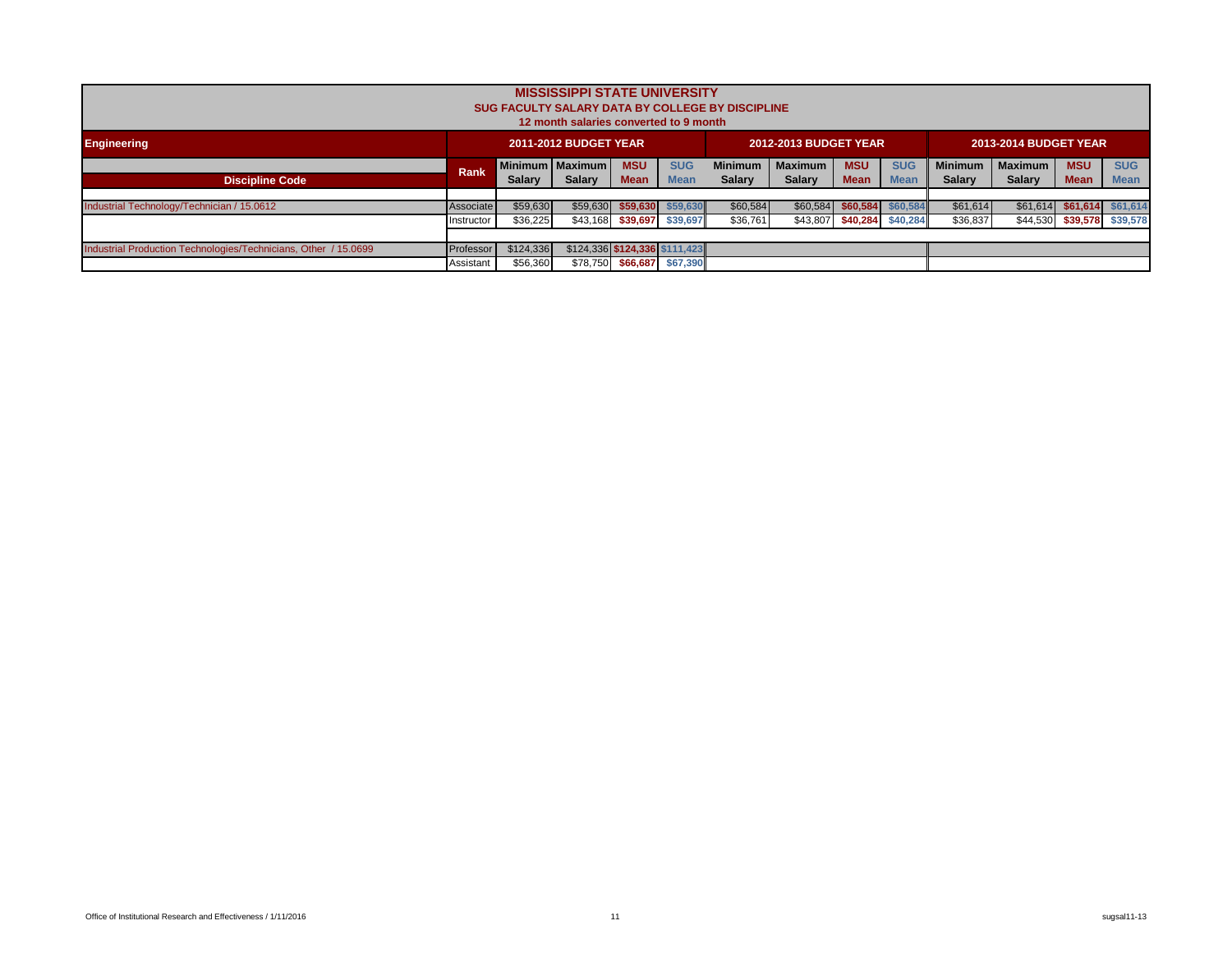|                                                                 |             |               | <b>MISSISSIPPI STATE UNIVERSITY</b><br>12 month salaries converted to 9 month |                   |                               | <b>SUG FACULTY SALARY DATA BY COLLEGE BY DISCIPLINE</b> |                              |                   |             |               |                              |                            |             |
|-----------------------------------------------------------------|-------------|---------------|-------------------------------------------------------------------------------|-------------------|-------------------------------|---------------------------------------------------------|------------------------------|-------------------|-------------|---------------|------------------------------|----------------------------|-------------|
| <b>Engineering</b>                                              |             |               | <b>2011-2012 BUDGET YEAR</b>                                                  |                   |                               |                                                         | <b>2012-2013 BUDGET YEAR</b> |                   |             |               | <b>2013-2014 BUDGET YEAR</b> |                            |             |
|                                                                 | <b>Rank</b> |               | Minimum   Maximum                                                             | <b>MSU</b>        | <b>SUG</b>                    | <b>MSU</b>                                              | <b>SUG</b>                   | <b>Minimum</b>    | Maximum     | <b>MSU</b>    | <b>SUG</b>                   |                            |             |
| <b>Discipline Code</b>                                          |             | <b>Salary</b> | <b>Salary</b>                                                                 | <b>Mean</b>       | <b>Mean</b>                   | <b>Salary</b>                                           | <b>Salary</b>                | <b>Mean</b>       | <b>Mean</b> | <b>Salary</b> | <b>Salary</b>                | <b>Mean</b>                | <b>Mean</b> |
|                                                                 |             |               |                                                                               |                   |                               |                                                         |                              |                   |             |               |                              |                            |             |
| Industrial Technology/Technician / 15.0612                      | Associate   | \$59,630      |                                                                               |                   | $$59,630$ $$59,630$ $$59,630$ | \$60,584                                                |                              | \$60,584 \$60,584 | \$60,584    | \$61,614      | \$61.614]                    | \$61,614 \$61,614          |             |
|                                                                 | Instructor  | \$36,225      |                                                                               |                   | \$43,168 \$39,697 \$39,697    | \$36,761                                                |                              | \$43,807 \$40,284 | \$40,284    | \$36,837      |                              | \$44,530 \$39,578 \$39,578 |             |
|                                                                 |             |               |                                                                               |                   |                               |                                                         |                              |                   |             |               |                              |                            |             |
| Industrial Production Technologies/Technicians, Other / 15.0699 | Professor   | \$124,336     | $$124,336$ $$124,336$ $$111,423$                                              |                   |                               |                                                         |                              |                   |             |               |                              |                            |             |
|                                                                 | Assistant   | \$56,360      |                                                                               | \$78,750 \$66,687 | \$67,390                      |                                                         |                              |                   |             |               |                              |                            |             |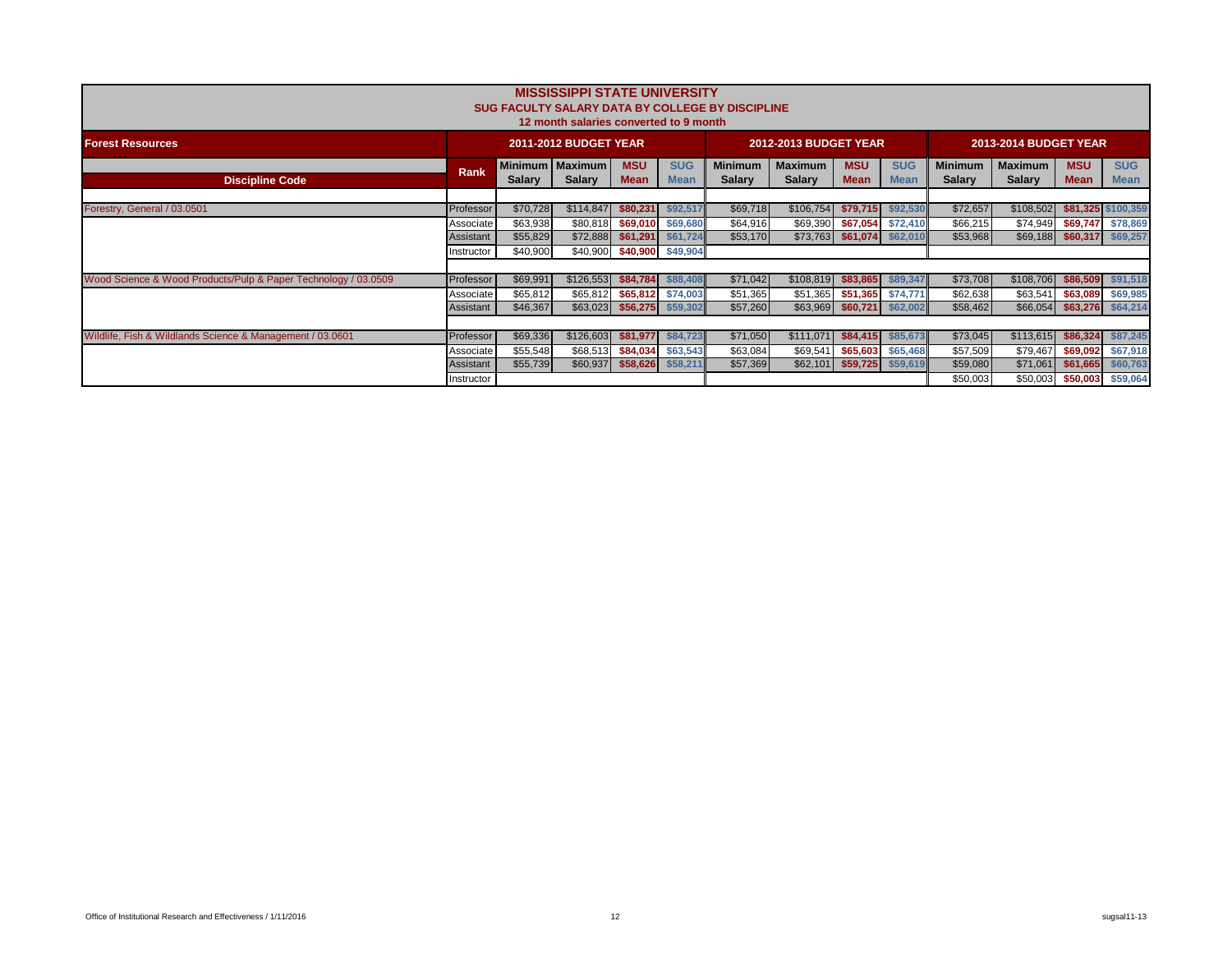|                                                                |             |                                 | <b>MISSISSIPPI STATE UNIVERSITY</b><br>12 month salaries converted to 9 month |                           |                           | <b>SUG FACULTY SALARY DATA BY COLLEGE BY DISCIPLINE</b> |                              |                           |                           |                                 |                                 |                           |                           |
|----------------------------------------------------------------|-------------|---------------------------------|-------------------------------------------------------------------------------|---------------------------|---------------------------|---------------------------------------------------------|------------------------------|---------------------------|---------------------------|---------------------------------|---------------------------------|---------------------------|---------------------------|
| <b>Forest Resources</b>                                        |             |                                 | <b>2011-2012 BUDGET YEAR</b>                                                  |                           |                           |                                                         | <b>2012-2013 BUDGET YEAR</b> |                           |                           |                                 | <b>2013-2014 BUDGET YEAR</b>    |                           |                           |
| <b>Discipline Code</b>                                         | <b>Rank</b> | <b>Minimum</b><br><b>Salary</b> | <b>Maximum</b><br><b>Salary</b>                                               | <b>MSU</b><br><b>Mean</b> | <b>SUG</b><br><b>Mean</b> | <b>Minimum</b><br><b>Salary</b>                         | Maximum<br><b>Salary</b>     | <b>MSU</b><br><b>Mean</b> | <b>SUG</b><br><b>Mean</b> | <b>Minimum</b><br><b>Salary</b> | <b>Maximum</b><br><b>Salary</b> | <b>MSU</b><br><b>Mean</b> | <b>SUG</b><br><b>Mean</b> |
| Forestry, General / 03.0501                                    | Professor   | \$70,728                        | \$114,847                                                                     | \$80,231                  | \$92,517                  | \$69,718                                                | \$106,754                    | \$79.715                  | \$92,530                  | \$72,657                        | \$108,502                       | \$81,325 \$100,359        |                           |
|                                                                | Associate   | \$63,938                        | \$80,818                                                                      | \$69,010                  | \$69,680                  | \$64,916                                                | \$69,390                     | \$67,054                  | \$72,410                  | \$66,215                        | \$74,949                        | \$69,747                  | \$78,869                  |
|                                                                | Assistant   | \$55,829                        | \$72,888                                                                      | \$61,291                  | \$61,724                  | \$53,170                                                | \$73,763                     | \$61,074                  | \$62,010                  | \$53,968                        | \$69,188                        | \$60,317                  | \$69,257                  |
|                                                                | Instructor  | \$40,900                        | \$40,900                                                                      |                           | \$40,900 \$49,904         |                                                         |                              |                           |                           |                                 |                                 |                           |                           |
| Wood Science & Wood Products/Pulp & Paper Technology / 03.0509 | Professor   | \$69,991                        | \$126,553                                                                     | \$84,784                  | \$88,408                  | \$71,042                                                | \$108,819                    | \$83,865                  | \$89,347                  | \$73,708                        | \$108,706                       | \$86,509                  | \$91,518                  |
|                                                                | Associate   | \$65,812                        | \$65,812                                                                      | \$65,812                  | \$74,003                  | \$51,365                                                | \$51,365                     | \$51,365                  | \$74,771                  | \$62,638                        | \$63,541                        | \$63,089                  | \$69,985                  |
|                                                                | Assistant   | \$46,367                        | \$63,023                                                                      | \$56,275                  | \$59,302                  | \$57,260                                                |                              | \$63,969 \$60,721         | \$62,002                  | \$58,462                        | \$66,054                        | \$63,276                  | \$64,214                  |
|                                                                |             |                                 |                                                                               |                           |                           |                                                         |                              |                           |                           |                                 |                                 |                           |                           |
| Wildlife, Fish & Wildlands Science & Management / 03.0601      | Professor   | \$69,336                        | \$126,603                                                                     | \$81,977                  | \$84,723                  | \$71,050                                                | \$111,071                    | \$84,415                  | \$85,673                  | \$73,045                        | \$113,615                       | \$86,324                  | \$87,245                  |
|                                                                | Associate   | \$55,548                        | \$68,513                                                                      | \$84,034                  | \$63,543                  | \$63,084                                                | \$69,541                     | \$65,603                  | \$65,468                  | \$57,509                        | \$79,467                        | \$69,092                  | \$67,918                  |
|                                                                | Assistant   | \$55,739                        | \$60,937                                                                      | \$58,626                  | \$58,211                  | \$57,369                                                | \$62,101                     | \$59,725                  | \$59,619                  | \$59,080                        | \$71,061                        | \$61,665                  | \$60,763                  |
|                                                                | Instructor  |                                 |                                                                               |                           |                           |                                                         |                              |                           |                           | \$50,003                        | \$50,003                        | \$50,003                  | \$59,064                  |